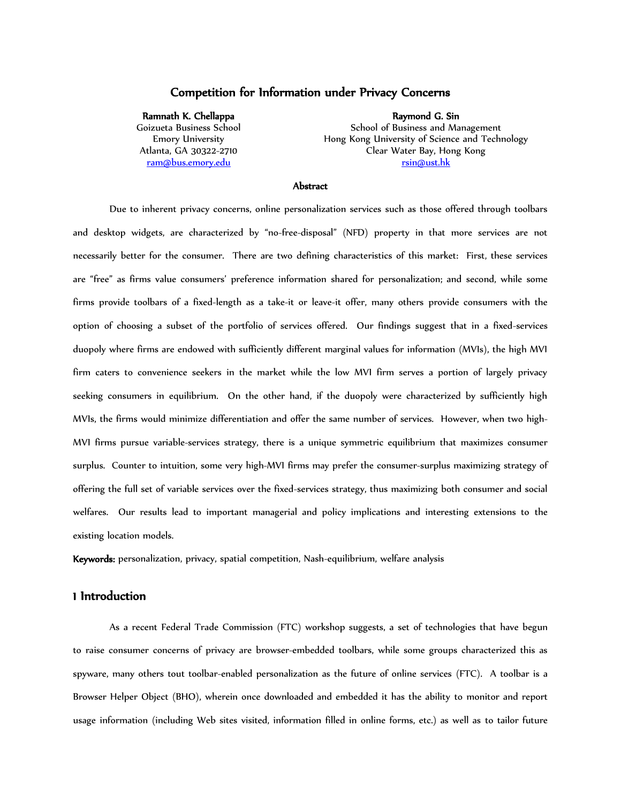# Competition for Information under Privacy Concerns

Ramnath K. Chellappa Goizueta Business School Emory University Atlanta, GA 30322-2710 [ram@bus.emory.edu](mailto:ram@bus.emory.edu)

Raymond G. Sin School of Business and Management Hong Kong University of Science and Technology Clear Water Bay, Hong Kong [rsin@ust.hk](mailto:rsin@ust.hk)

#### Abstract

Due to inherent privacy concerns, online personalization services such as those offered through toolbars and desktop widgets, are characterized by 'no-free-disposal' (NFD) property in that more services are not necessarily better for the consumer. There are two defining characteristics of this market: First, these services are 'free' as firms value consumers' preference information shared for personalization; and second, while some firms provide toolbars of a fixed-length as a take-it or leave-it offer, many others provide consumers with the option of choosing a subset of the portfolio of services offered. Our findings suggest that in a fixed-services duopoly where firms are endowed with sufficiently different marginal values for information (MVIs), the high MVI firm caters to convenience seekers in the market while the low MVI firm serves a portion of largely privacy seeking consumers in equilibrium. On the other hand, if the duopoly were characterized by sufficiently high MVIs, the firms would minimize differentiation and offer the same number of services. However, when two high-MVI firms pursue variable-services strategy, there is a unique symmetric equilibrium that maximizes consumer surplus. Counter to intuition, some very high-MVI firms may prefer the consumer-surplus maximizing strategy of offering the full set of variable services over the fixed-services strategy, thus maximizing both consumer and social welfares. Our results lead to important managerial and policy implications and interesting extensions to the existing location models.

Keywords: personalization, privacy, spatial competition, Nash-equilibrium, welfare analysis

# 1 Introduction

As a recent Federal Trade Commission (FTC) workshop suggests, a set of technologies that have begun to raise consumer concerns of privacy are browser-embedded toolbars, while some groups characterized this as spyware, many others tout toolbar-enabled personalization as the future of online services (FTC). A toolbar is a Browser Helper Object (BHO), wherein once downloaded and embedded it has the ability to monitor and report usage information (including Web sites visited, information filled in online forms, etc.) as well as to tailor future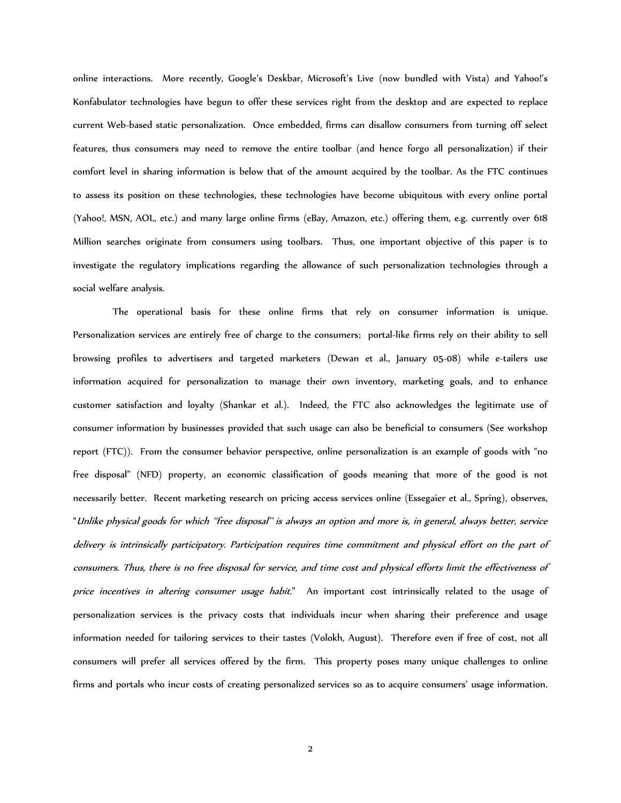online interactions. More recently, Google's Deskbar, Microsoft's Live (now bundled with Vista) and Yahoo!'s Konfabulator technologies have begun to offer these services right from the desktop and are expected to replace current Web-based static personalization. Once embedded, firms can disallow consumers from turning off select features, thus consumers may need to remove the entire toolbar (and hence forgo all personalization) if their comfort level in sharing information is below that of the amount acquired by the toolbar. As the FTC continues to assess its position on these technologies, these technologies have become ubiquitous with every online portal (Yahoo!, MSN, AOL, etc.) and many large online firms (eBay, Amazon, etc.) offering them, e.g. currently over 618 Million searches originate from consumers using toolbars. Thus, one important objective of this paper is to investigate the regulatory implications regarding the allowance of such personalization technologies through a social welfare analysis.

The operational basis for these online firms that rely on consumer information is unique. Personalization services are entirely free of charge to the consumers; portal-like firms rely on their ability to sell browsing profiles to advertisers and targeted marketers (Dewan et al., January 05-08) while e-tailers use information acquired for personalization to manage their own inventory, marketing goals, and to enhance customer satisfaction and loyalty (Shankar et al.). Indeed, the FTC also acknowledges the legitimate use of consumer information by businesses provided that such usage can also be beneficial to consumers (See workshop report (FTC)). From the consumer behavior perspective, online personalization is an example of goods with 'no free disposal' (NFD) property, an economic classification of goods meaning that more of the good is not necessarily better. Recent marketing research on pricing access services online (Essegaier et al., Spring), observes, 'Unlike physical goods for which ''free disposal'' is always an option and more is, in general, always better, service delivery is intrinsically participatory. Participation requires time commitment and physical effort on the part of consumers. Thus, there is no free disposal for service, and time cost and physical efforts limit the effectiveness of price incentives in altering consumer usage habit." An important cost intrinsically related to the usage of personalization services is the privacy costs that individuals incur when sharing their preference and usage information needed for tailoring services to their tastes (Volokh, August). Therefore even if free of cost, not all consumers will prefer all services offered by the firm. This property poses many unique challenges to online firms and portals who incur costs of creating personalized services so as to acquire consumers' usage information.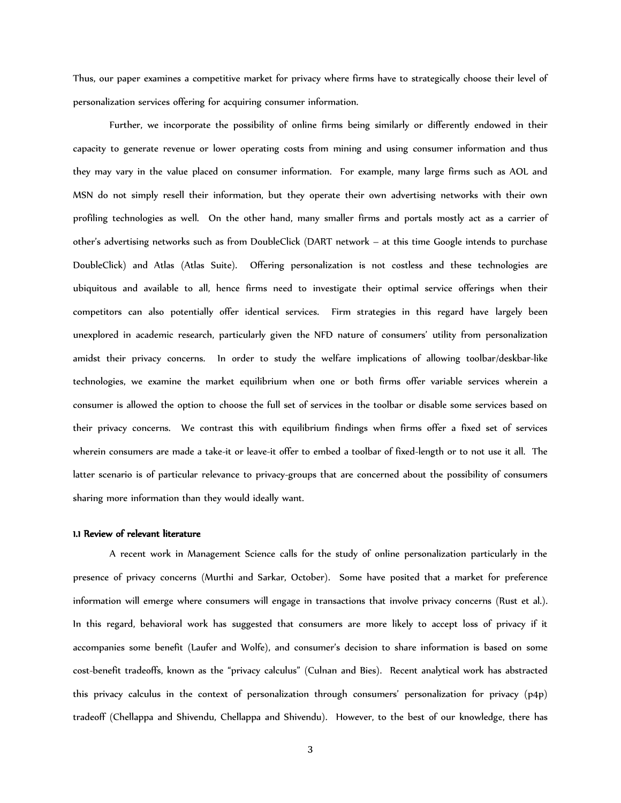Thus, our paper examines a competitive market for privacy where firms have to strategically choose their level of personalization services offering for acquiring consumer information.

Further, we incorporate the possibility of online firms being similarly or differently endowed in their capacity to generate revenue or lower operating costs from mining and using consumer information and thus they may vary in the value placed on consumer information. For example, many large firms such as AOL and MSN do not simply resell their information, but they operate their own advertising networks with their own profiling technologies as well. On the other hand, many smaller firms and portals mostly act as a carrier of other's advertising networks such as from DoubleClick (DART network – at this time Google intends to purchase DoubleClick) and Atlas (Atlas Suite). Offering personalization is not costless and these technologies are ubiquitous and available to all, hence firms need to investigate their optimal service offerings when their competitors can also potentially offer identical services. Firm strategies in this regard have largely been unexplored in academic research, particularly given the NFD nature of consumers' utility from personalization amidst their privacy concerns. In order to study the welfare implications of allowing toolbar/deskbar-like technologies, we examine the market equilibrium when one or both firms offer variable services wherein a consumer is allowed the option to choose the full set of services in the toolbar or disable some services based on their privacy concerns. We contrast this with equilibrium findings when firms offer a fixed set of services wherein consumers are made a take-it or leave-it offer to embed a toolbar of fixed-length or to not use it all. The latter scenario is of particular relevance to privacy-groups that are concerned about the possibility of consumers sharing more information than they would ideally want.

### 1.1 Review of relevant literature

A recent work in Management Science calls for the study of online personalization particularly in the presence of privacy concerns (Murthi and Sarkar, October). Some have posited that a market for preference information will emerge where consumers will engage in transactions that involve privacy concerns (Rust et al.). In this regard, behavioral work has suggested that consumers are more likely to accept loss of privacy if it accompanies some benefit (Laufer and Wolfe), and consumer's decision to share information is based on some cost-benefit tradeoffs, known as the 'privacy calculus' (Culnan and Bies). Recent analytical work has abstracted this privacy calculus in the context of personalization through consumers' personalization for privacy (p4p) tradeoff (Chellappa and Shivendu, Chellappa and Shivendu). However, to the best of our knowledge, there has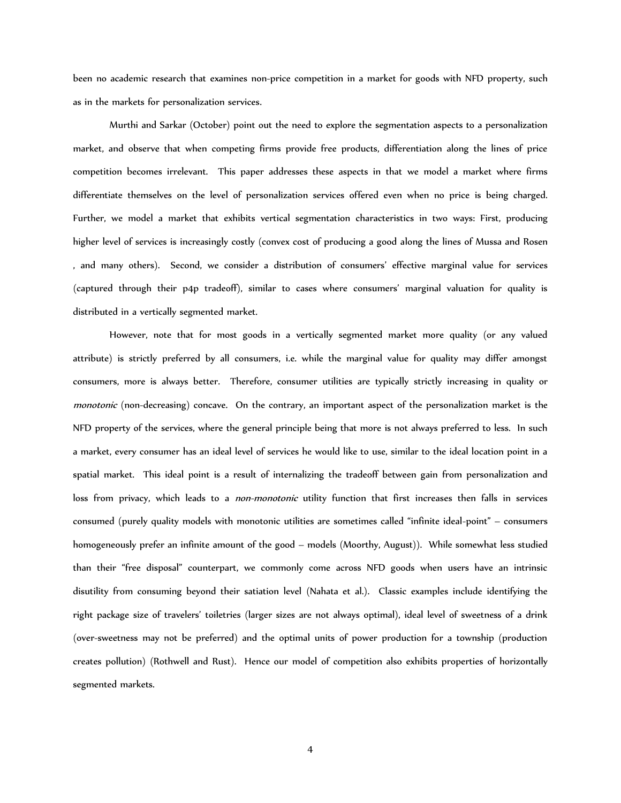been no academic research that examines non-price competition in a market for goods with NFD property, such as in the markets for personalization services.

Murthi and Sarkar (October) point out the need to explore the segmentation aspects to a personalization market, and observe that when competing firms provide free products, differentiation along the lines of price competition becomes irrelevant. This paper addresses these aspects in that we model a market where firms differentiate themselves on the level of personalization services offered even when no price is being charged. Further, we model a market that exhibits vertical segmentation characteristics in two ways: First, producing higher level of services is increasingly costly (convex cost of producing a good along the lines of Mussa and Rosen , and many others). Second, we consider a distribution of consumers' effective marginal value for services (captured through their p4p tradeoff), similar to cases where consumers' marginal valuation for quality is distributed in a vertically segmented market.

However, note that for most goods in a vertically segmented market more quality (or any valued attribute) is strictly preferred by all consumers, i.e. while the marginal value for quality may differ amongst consumers, more is always better. Therefore, consumer utilities are typically strictly increasing in quality or monotonic (non-decreasing) concave. On the contrary, an important aspect of the personalization market is the NFD property of the services, where the general principle being that more is not always preferred to less. In such a market, every consumer has an ideal level of services he would like to use, similar to the ideal location point in a spatial market. This ideal point is a result of internalizing the tradeoff between gain from personalization and loss from privacy, which leads to a *non-monotonic* utility function that first increases then falls in services consumed (purely quality models with monotonic utilities are sometimes called 'infinite ideal-point' – consumers homogeneously prefer an infinite amount of the good – models (Moorthy, August)). While somewhat less studied than their 'free disposal' counterpart, we commonly come across NFD goods when users have an intrinsic disutility from consuming beyond their satiation level (Nahata et al.). Classic examples include identifying the right package size of travelers' toiletries (larger sizes are not always optimal), ideal level of sweetness of a drink (over-sweetness may not be preferred) and the optimal units of power production for a township (production creates pollution) (Rothwell and Rust). Hence our model of competition also exhibits properties of horizontally segmented markets.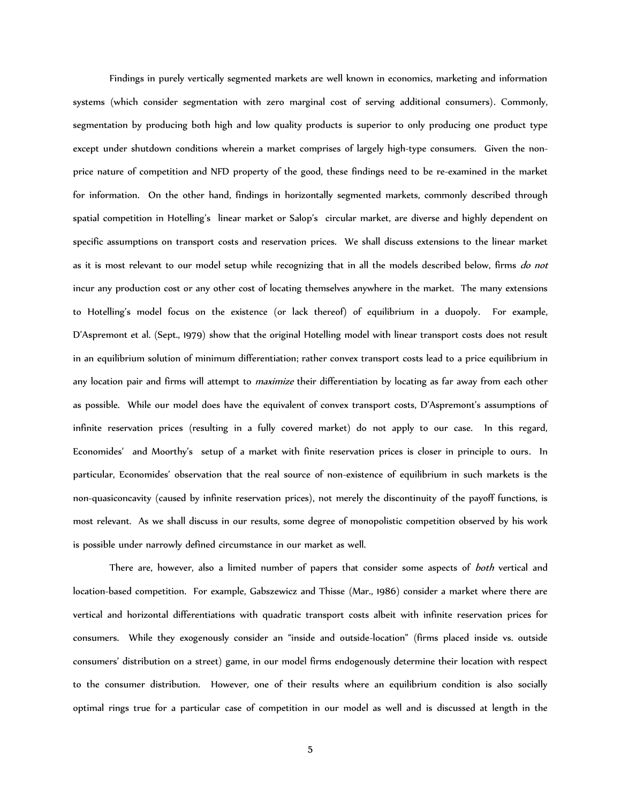Findings in purely vertically segmented markets are well known in economics, marketing and information systems (which consider segmentation with zero marginal cost of serving additional consumers). Commonly, segmentation by producing both high and low quality products is superior to only producing one product type except under shutdown conditions wherein a market comprises of largely high-type consumers. Given the nonprice nature of competition and NFD property of the good, these findings need to be re-examined in the market for information. On the other hand, findings in horizontally segmented markets, commonly described through spatial competition in Hotelling's linear market or Salop's circular market, are diverse and highly dependent on specific assumptions on transport costs and reservation prices. We shall discuss extensions to the linear market as it is most relevant to our model setup while recognizing that in all the models described below, firms do not incur any production cost or any other cost of locating themselves anywhere in the market. The many extensions to Hotelling's model focus on the existence (or lack thereof) of equilibrium in a duopoly. For example, D'Aspremont et al. (Sept., 1979) show that the original Hotelling model with linear transport costs does not result in an equilibrium solution of minimum differentiation; rather convex transport costs lead to a price equilibrium in any location pair and firms will attempt to *maximize* their differentiation by locating as far away from each other as possible. While our model does have the equivalent of convex transport costs, D'Aspremont's assumptions of infinite reservation prices (resulting in a fully covered market) do not apply to our case. In this regard, Economides' and Moorthy's setup of a market with finite reservation prices is closer in principle to ours. In particular, Economides' observation that the real source of non-existence of equilibrium in such markets is the non-quasiconcavity (caused by infinite reservation prices), not merely the discontinuity of the payoff functions, is most relevant. As we shall discuss in our results, some degree of monopolistic competition observed by his work is possible under narrowly defined circumstance in our market as well.

There are, however, also a limited number of papers that consider some aspects of both vertical and location-based competition. For example, Gabszewicz and Thisse (Mar., 1986) consider a market where there are vertical and horizontal differentiations with quadratic transport costs albeit with infinite reservation prices for consumers. While they exogenously consider an 'inside and outside-location' (firms placed inside vs. outside consumers' distribution on a street) game, in our model firms endogenously determine their location with respect to the consumer distribution. However, one of their results where an equilibrium condition is also socially optimal rings true for a particular case of competition in our model as well and is discussed at length in the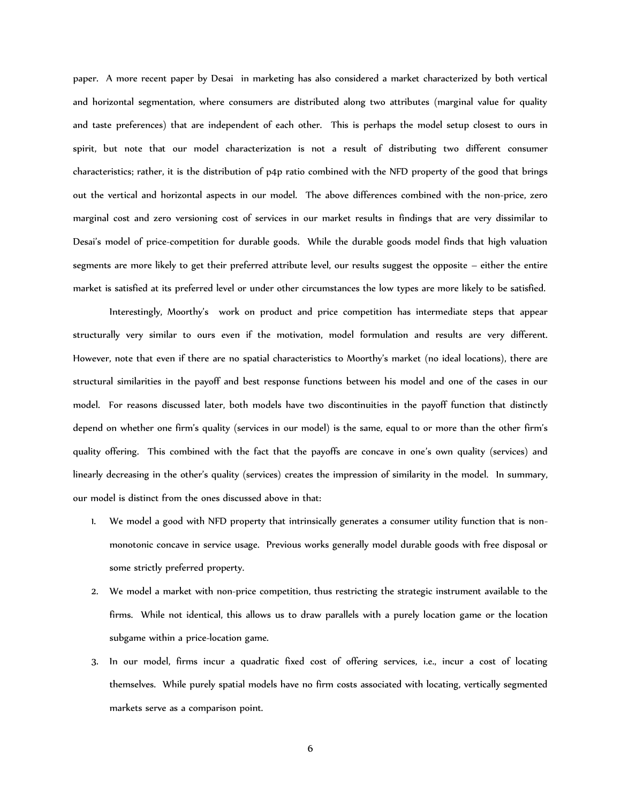paper. A more recent paper by Desai in marketing has also considered a market characterized by both vertical and horizontal segmentation, where consumers are distributed along two attributes (marginal value for quality and taste preferences) that are independent of each other. This is perhaps the model setup closest to ours in spirit, but note that our model characterization is not a result of distributing two different consumer characteristics; rather, it is the distribution of p4p ratio combined with the NFD property of the good that brings out the vertical and horizontal aspects in our model. The above differences combined with the non-price, zero marginal cost and zero versioning cost of services in our market results in findings that are very dissimilar to Desai's model of price-competition for durable goods. While the durable goods model finds that high valuation segments are more likely to get their preferred attribute level, our results suggest the opposite – either the entire market is satisfied at its preferred level or under other circumstances the low types are more likely to be satisfied.

Interestingly, Moorthy's work on product and price competition has intermediate steps that appear structurally very similar to ours even if the motivation, model formulation and results are very different. However, note that even if there are no spatial characteristics to Moorthy's market (no ideal locations), there are structural similarities in the payoff and best response functions between his model and one of the cases in our model. For reasons discussed later, both models have two discontinuities in the payoff function that distinctly depend on whether one firm's quality (services in our model) is the same, equal to or more than the other firm's quality offering. This combined with the fact that the payoffs are concave in one's own quality (services) and linearly decreasing in the other's quality (services) creates the impression of similarity in the model. In summary, our model is distinct from the ones discussed above in that:

- 1. We model a good with NFD property that intrinsically generates a consumer utility function that is nonmonotonic concave in service usage. Previous works generally model durable goods with free disposal or some strictly preferred property.
- 2. We model a market with non-price competition, thus restricting the strategic instrument available to the firms. While not identical, this allows us to draw parallels with a purely location game or the location subgame within a price-location game.
- 3. In our model, firms incur a quadratic fixed cost of offering services, i.e., incur a cost of locating themselves. While purely spatial models have no firm costs associated with locating, vertically segmented markets serve as a comparison point.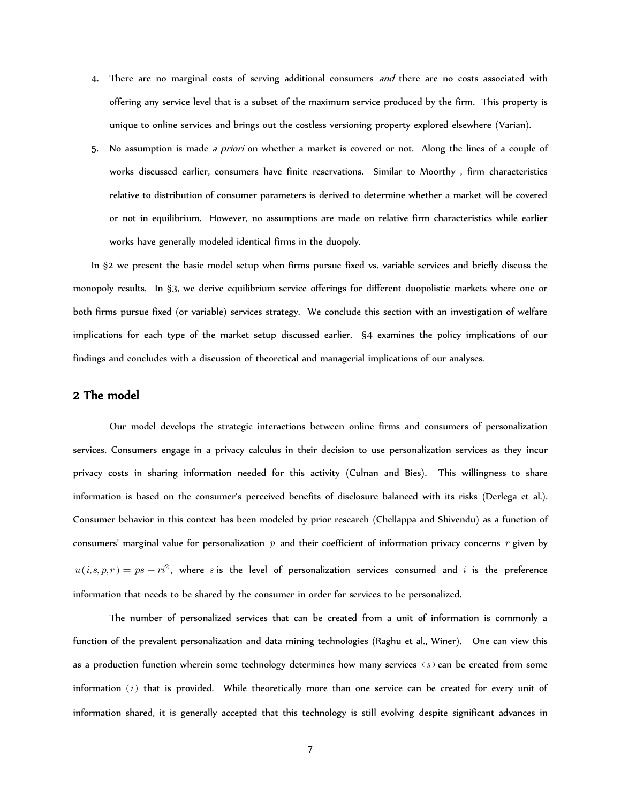- 4. There are no marginal costs of serving additional consumers *and* there are no costs associated with offering any service level that is a subset of the maximum service produced by the firm. This property is unique to online services and brings out the costless versioning property explored elsewhere (Varian).
- 5. No assumption is made *a priori* on whether a market is covered or not. Along the lines of a couple of works discussed earlier, consumers have finite reservations. Similar to Moorthy , firm characteristics relative to distribution of consumer parameters is derived to determine whether a market will be covered or not in equilibrium. However, no assumptions are made on relative firm characteristics while earlier works have generally modeled identical firms in the duopoly.

In §2 we present the basic model setup when firms pursue fixed vs. variable services and briefly discuss the monopoly results. In §3, we derive equilibrium service offerings for different duopolistic markets where one or both firms pursue fixed (or variable) services strategy. We conclude this section with an investigation of welfare implications for each type of the market setup discussed earlier. §4 examines the policy implications of our findings and concludes with a discussion of theoretical and managerial implications of our analyses.

# 2 The model

Our model develops the strategic interactions between online firms and consumers of personalization services. Consumers engage in a privacy calculus in their decision to use personalization services as they incur privacy costs in sharing information needed for this activity (Culnan and Bies). This willingness to share information is based on the consumer's perceived benefits of disclosure balanced with its risks (Derlega et al.). Consumer behavior in this context has been modeled by prior research (Chellappa and Shivendu) as a function of consumers' marginal value for personalization *p* and their coefficient of information privacy concerns *r* given by  $u(i, s, p, r) = ps - r i^2$ , where s is the level of personalization services consumed and i is the preference information that needs to be shared by the consumer in order for services to be personalized.

The number of personalized services that can be created from a unit of information is commonly a function of the prevalent personalization and data mining technologies (Raghu et al., Winer). One can view this as a production function wherein some technology determines how many services (s) can be created from some information (*i*) that is provided. While theoretically more than one service can be created for every unit of information shared, it is generally accepted that this technology is still evolving despite significant advances in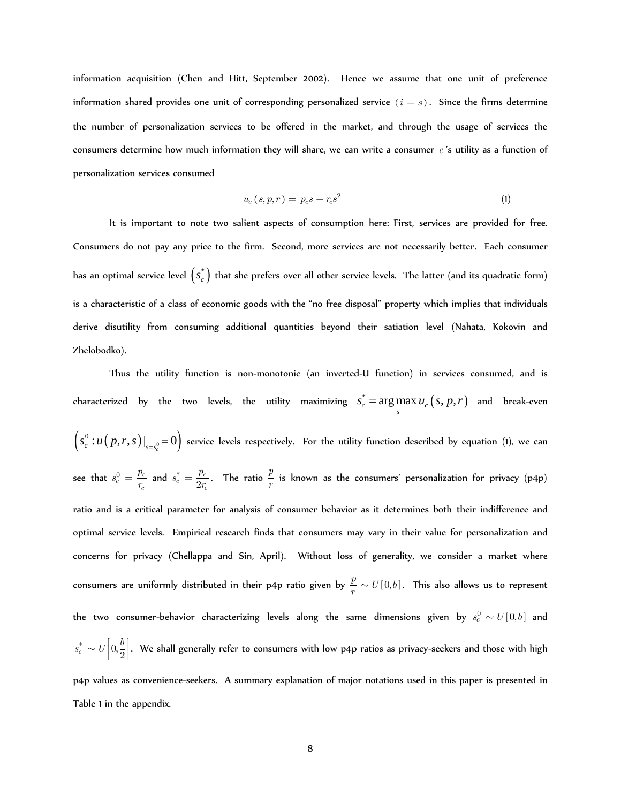information acquisition (Chen and Hitt, September 2002). Hence we assume that one unit of preference information shared provides one unit of corresponding personalized service  $(i = s)$ . Since the firms determine the number of personalization services to be offered in the market, and through the usage of services the consumers determine how much information they will share, we can write a consumer *c* 's utility as a function of personalization services consumed

$$
u_c(s, p, r) = p_c s - r_c s^2 \tag{1}
$$

It is important to note two salient aspects of consumption here: First, services are provided for free. Consumers do not pay any price to the firm. Second, more services are not necessarily better. Each consumer has an optimal service level  $\left(s^*_c\right)$  $s_{c}^{\ast}$ ) that she prefers over all other service levels. The latter (and its quadratic form) is a characteristic of a class of economic goods with the 'no free disposal' property which implies that individuals derive disutility from consuming additional quantities beyond their satiation level (Nahata, Kokovin and Zhelobodko).

Thus the utility function is non-monotonic (an inverted-U function) in services consumed, and is characterized by the two levels, the utility maximizing  $s_c^* = \argmax_s u_c(s, p, r)$  and break-even  $\Big(s_c^0:u\big(p,r,s\big)\big|_{s=s_c^0}=0\Big)$  service levels respectively. For the utility function described by equation (1), we can see that  $s_c^0 = \frac{p_c}{r_c}$  $s_c^0 = \frac{p_c}{r_c}$  and  $s_c^*$ 2  $e^*$ <sub>c</sub>  $\frac{p_c}{2r_c}$  $s_c^* = \frac{p_c}{2r_c}$ . The ratio  $\frac{p}{r}$  $\frac{p}{r}$  is known as the consumers' personalization for privacy (p4p) ratio and is a critical parameter for analysis of consumer behavior as it determines both their indifference and optimal service levels. Empirical research finds that consumers may vary in their value for personalization and concerns for privacy (Chellappa and Sin, April). Without loss of generality, we consider a market where consumers are uniformly distributed in their p4p ratio given by  $\frac{p}{r}\sim U[0,b]$ . This also allows us to represent the two consumer-behavior characterizing levels along the same dimensions given by  $s_c^0 \sim U[0,b]$  and  $s^*_c\sim U\Big[0,\frac{b}{2}\Big].$  We shall generally refer to consumers with low p4p ratios as privacy-seekers and those with high p4p values as convenience-seekers. A summary explanation of major notations used in this paper is presented in Table 1 in the appendix.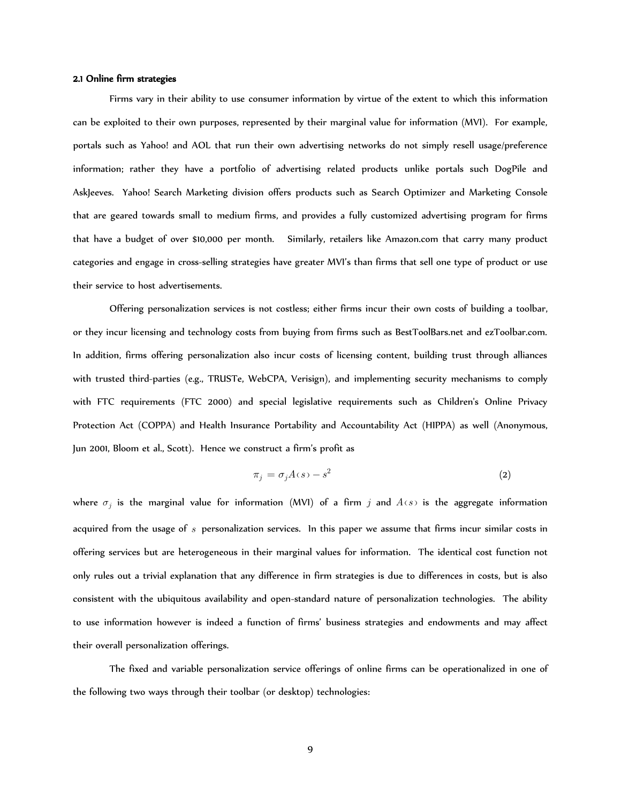## 2.1 Online firm strategies

Firms vary in their ability to use consumer information by virtue of the extent to which this information can be exploited to their own purposes, represented by their marginal value for information (MVI). For example, portals such as Yahoo! and AOL that run their own advertising networks do not simply resell usage/preference information; rather they have a portfolio of advertising related products unlike portals such DogPile and AskJeeves. Yahoo! Search Marketing division offers products such as Search Optimizer and Marketing Console that are geared towards small to medium firms, and provides a fully customized advertising program for firms that have a budget of over \$10,000 per month. Similarly, retailers like Amazon.com that carry many product categories and engage in cross-selling strategies have greater MVI's than firms that sell one type of product or use their service to host advertisements.

Offering personalization services is not costless; either firms incur their own costs of building a toolbar, or they incur licensing and technology costs from buying from firms such as BestToolBars.net and ezToolbar.com. In addition, firms offering personalization also incur costs of licensing content, building trust through alliances with trusted third-parties (e.g., TRUSTe, WebCPA, Verisign), and implementing security mechanisms to comply with FTC requirements (FTC 2000) and special legislative requirements such as Children's Online Privacy Protection Act (COPPA) and Health Insurance Portability and Accountability Act (HIPPA) as well (Anonymous, Jun 2001, Bloom et al., Scott). Hence we construct a firm's profit as

$$
\pi_j = \sigma_j A(s) - s^2 \tag{2}
$$

where  $\sigma_j$  is the marginal value for information (MVI) of a firm  $j$  and  $A(s)$  is the aggregate information acquired from the usage of s personalization services. In this paper we assume that firms incur similar costs in offering services but are heterogeneous in their marginal values for information. The identical cost function not only rules out a trivial explanation that any difference in firm strategies is due to differences in costs, but is also consistent with the ubiquitous availability and open-standard nature of personalization technologies. The ability to use information however is indeed a function of firms' business strategies and endowments and may affect their overall personalization offerings.

The fixed and variable personalization service offerings of online firms can be operationalized in one of the following two ways through their toolbar (or desktop) technologies: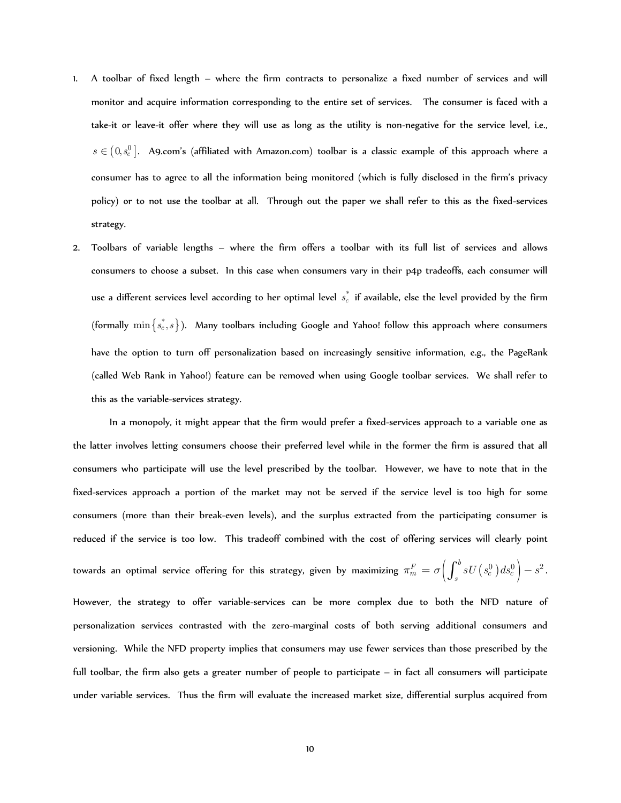- 1. A toolbar of fixed length where the firm contracts to personalize a fixed number of services and will monitor and acquire information corresponding to the entire set of services. The consumer is faced with a take-it or leave-it offer where they will use as long as the utility is non-negative for the service level, i.e.,  $s \in (0,s_c^0]$ . A9.com's (affiliated with Amazon.com) toolbar is a classic example of this approach where a consumer has to agree to all the information being monitored (which is fully disclosed in the firm's privacy policy) or to not use the toolbar at all. Through out the paper we shall refer to this as the fixed-services strategy.
- 2. Toolbars of variable lengths where the firm offers a toolbar with its full list of services and allows consumers to choose a subset. In this case when consumers vary in their p4p tradeoffs, each consumer will use a different services level according to her optimal level  $s_c^\ast$  if available, else the level provided by the firm (formally  $\min\left\{s^*_c,s\right\}$ ). Many toolbars including Google and Yahoo! follow this approach where consumers have the option to turn off personalization based on increasingly sensitive information, e.g., the PageRank (called Web Rank in Yahoo!) feature can be removed when using Google toolbar services. We shall refer to this as the variable-services strategy.

In a monopoly, it might appear that the firm would prefer a fixed-services approach to a variable one as the latter involves letting consumers choose their preferred level while in the former the firm is assured that all consumers who participate will use the level prescribed by the toolbar. However, we have to note that in the fixed-services approach a portion of the market may not be served if the service level is too high for some consumers (more than their break-even levels), and the surplus extracted from the participating consumer is reduced if the service is too low. This tradeoff combined with the cost of offering services will clearly point towards an optimal service offering for this strategy, given by maximizing  $\pi_m^F=\sigma\biggl(\int_s^bsU\bigl(s_c^0\bigr)ds_c^0\biggr)-s^2$ . However, the strategy to offer variable-services can be more complex due to both the NFD nature of personalization services contrasted with the zero-marginal costs of both serving additional consumers and versioning. While the NFD property implies that consumers may use fewer services than those prescribed by the full toolbar, the firm also gets a greater number of people to participate – in fact all consumers will participate under variable services. Thus the firm will evaluate the increased market size, differential surplus acquired from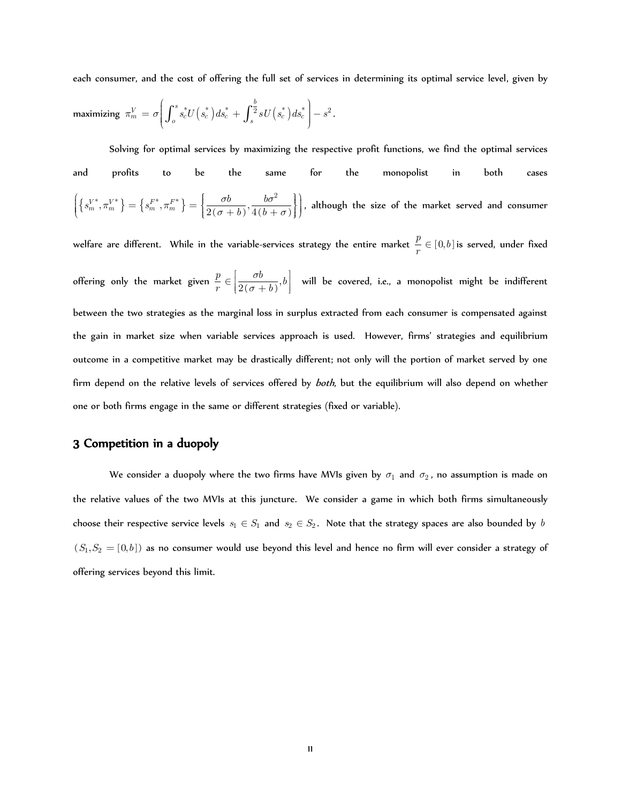each consumer, and the cost of offering the full set of services in determining its optimal service level, given by

$$
\text{maximizing} \ \pi_m^V = \sigma \bigg( \int_o^s s_c^* U\big(s_c^*\big) ds_c^* + \int_s^{\frac{b}{2}} s U\big(s_c^*\big) ds_c^* \bigg) - s^2 \,.
$$

Solving for optimal services by maximizing the respective profit functions, we find the optimal services and profits to be the same for the monopolist in both cases  $\{s_m^{V^*}, \pi_m^{V^*}\} = \{s_m^{F^*}, \pi_m^{F^*}\} = \left\{\frac{\sigma}{2(\sigma+b)}, \frac{\sigma}{4(b+\sigma)}\right\}$  $s_m^{V^*}, \pi_m^{V^*}\} = \{s_m^{F^*}, \pi_m^{F^*}\} = \left\{\frac{\sigma b}{2(\sigma+b)}, \frac{b\sigma^2}{4(b+\sigma)}\right\}\right),$  $\begin{pmatrix} \{s_m^{V*}, \pi_m^{V*}\} = \{s_m^{F*}, \pi_m^{F*}\} = \left\{ \frac{\sigma b}{2(\sigma + b)}, \frac{b\sigma^2}{4(b + \sigma)} \right\} \end{pmatrix}$ , altho , although the size of the market served and consumer

welfare are different. While in the variable-services strategy the entire market  $\frac{p}{r} \in [0,b]$  is served, under fixed offering only the market given  $\frac{p}{r} \in \left[\frac{\sigma b}{2(\sigma + b)}, b\right]$  $\sigma$  $\sigma$  $\mathfrak{S}\left[\dfrac{\sigma b}{2(\sigma+b)},b\right]$  will be covered, i.e., a monopolist might be indifferent between the two strategies as the marginal loss in surplus extracted from each consumer is compensated against the gain in market size when variable services approach is used. However, firms' strategies and equilibrium outcome in a competitive market may be drastically different; not only will the portion of market served by one firm depend on the relative levels of services offered by *both*, but the equilibrium will also depend on whether one or both firms engage in the same or different strategies (fixed or variable).

# 3 Competition in a duopoly

We consider a duopoly where the two firms have MVIs given by  $\sigma_1$  and  $\sigma_2$ , no assumption is made on the relative values of the two MVIs at this juncture. We consider a game in which both firms simultaneously choose their respective service levels  $s_1 \in S_1$  and  $s_2 \in S_2$ . Note that the strategy spaces are also bounded by  $b$  $S_1, S_2 = [0, b]$  as no consumer would use beyond this level and hence no firm will ever consider a strategy of offering services beyond this limit.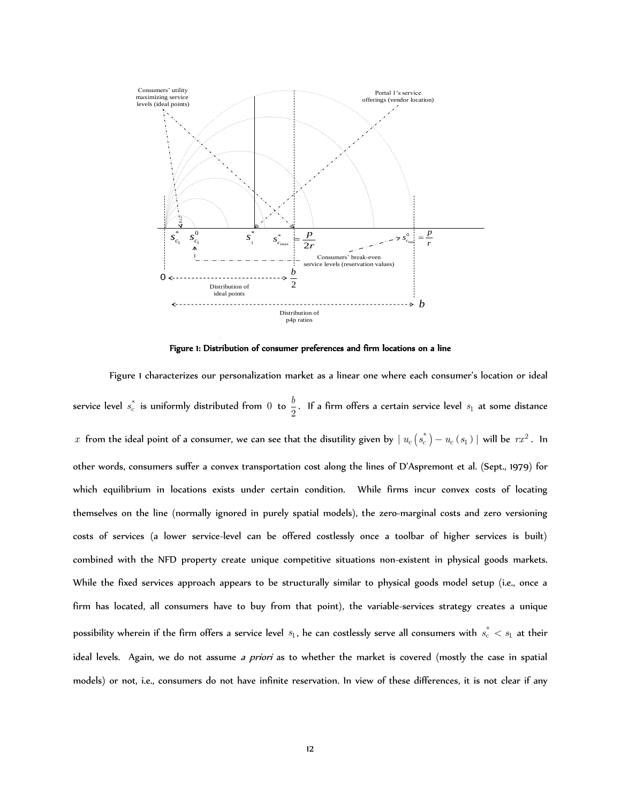

Figure 1: Distribution of consumer preferences and firm locations on a line

Figure 1 characterizes our personalization market as a linear one where each consumer's location or ideal service level  $s_c^*$  is uniformly distributed from  $0$  to  $\frac{\theta}{2}$  $\frac{b}{5}$ . If a firm offers a certain service level  $s_1$  at some distance  $x$  from the ideal point of a consumer, we can see that the disutility given by  $\mid u_c\left(s^*_c\right)-u_c\left(s_1\right)\mid$  will be  $\tau x^2$ . In other words, consumers suffer a convex transportation cost along the lines of D'Aspremont et al. (Sept., 1979) for which equilibrium in locations exists under certain condition. While firms incur convex costs of locating themselves on the line (normally ignored in purely spatial models), the zero-marginal costs and zero versioning costs of services (a lower service-level can be offered costlessly once a toolbar of higher services is built) combined with the NFD property create unique competitive situations non-existent in physical goods markets. While the fixed services approach appears to be structurally similar to physical goods model setup (i.e., once a firm has located, all consumers have to buy from that point), the variable-services strategy creates a unique possibility wherein if the firm offers a service level  $s_1$ , he can costlessly serve all consumers with  $s_c^* < s_1$  at their ideal levels. Again, we do not assume a priori as to whether the market is covered (mostly the case in spatial models) or not, i.e., consumers do not have infinite reservation. In view of these differences, it is not clear if any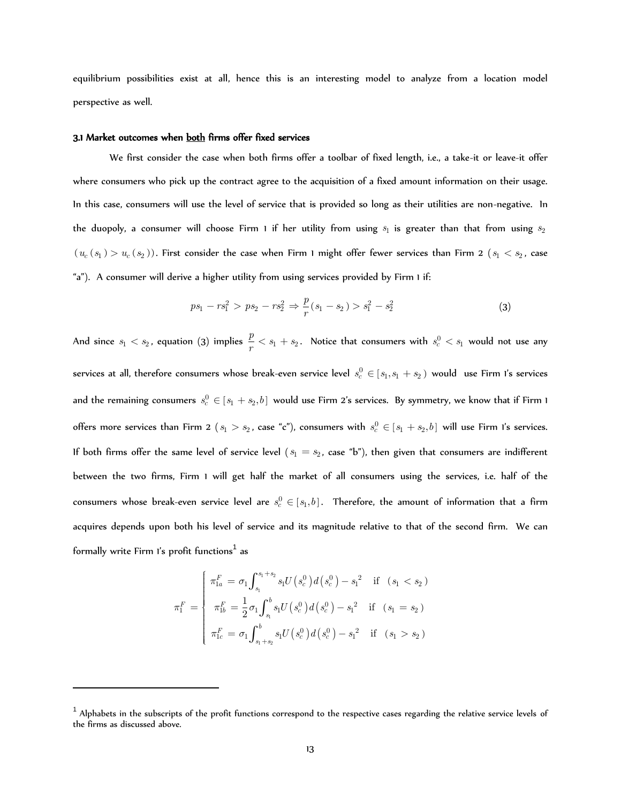equilibrium possibilities exist at all, hence this is an interesting model to analyze from a location model perspective as well.

## 3.1 Market outcomes when both firms offer fixed services

I

We first consider the case when both firms offer a toolbar of fixed length, i.e., a take-it or leave-it offer where consumers who pick up the contract agree to the acquisition of a fixed amount information on their usage. In this case, consumers will use the level of service that is provided so long as their utilities are non-negative. In the duopoly, a consumer will choose Firm 1 if her utility from using  $s_1$  is greater than that from using  $s_2$  $(u_c(s_1) > u_c(s_2))$ . First consider the case when Firm 1 might offer fewer services than Firm 2  $(s_1 < s_2)$ , case 'a'). A consumer will derive a higher utility from using services provided by Firm 1 if:

$$
ps_1 - rs_1^2 > ps_2 - rs_2^2 \Rightarrow \frac{p}{r}(s_1 - s_2) > s_1^2 - s_2^2 \tag{3}
$$

And since  $s_1 < s_2$ , equation (3) implies  $\frac{p}{r} < s_1 + s_2$ . Notice that consumers with  $s_c^0 < s_1$  would not use any services at all, therefore consumers whose break-even service level  $s_c^0 \in [s_1,s_1+s_2)$  would use Firm 1's services and the remaining consumers  $\,s^0_c\in [s_1+s_2,b]\,$  would use Firm 2's services. By symmetry, we know that if Firm 1 offers more services than Firm 2 ( $s_1>s_2$ , case "c"), consumers with  $s_c^0\in [s_1+s_2,b]$  will use Firm 1's services. If both firms offer the same level of service level ( $s_1 = s_2$ , case "b"), then given that consumers are indifferent between the two firms, Firm 1 will get half the market of all consumers using the services, i.e. half of the consumers whose break-even service level are  $s_c^0 \in [s_1,b]$ . Therefore, the amount of information that a firm acquires depends upon both his level of service and its magnitude relative to that of the second firm. We can formally write Firm 1's profit functions $^1$  as

$$
\pi_1^F = \begin{cases}\n\pi_{1a}^F = \sigma_1 \int_{s_1}^{s_1 + s_2} s_1 U(s_c^0) d(s_c^0) - s_1^2 & \text{if } (s_1 < s_2) \\
\pi_1^F = \begin{cases}\n\pi_{1b}^F = \frac{1}{2} \sigma_1 \int_{s_1}^b s_1 U(s_c^0) d(s_c^0) - s_1^2 & \text{if } (s_1 = s_2) \\
\pi_{1c}^F = \sigma_1 \int_{s_1 + s_2}^b s_1 U(s_c^0) d(s_c^0) - s_1^2 & \text{if } (s_1 > s_2)\n\end{cases}\n\end{cases}
$$

 $^1$  Alphabets in the subscripts of the profit functions correspond to the respective cases regarding the relative service levels of the firms as discussed above.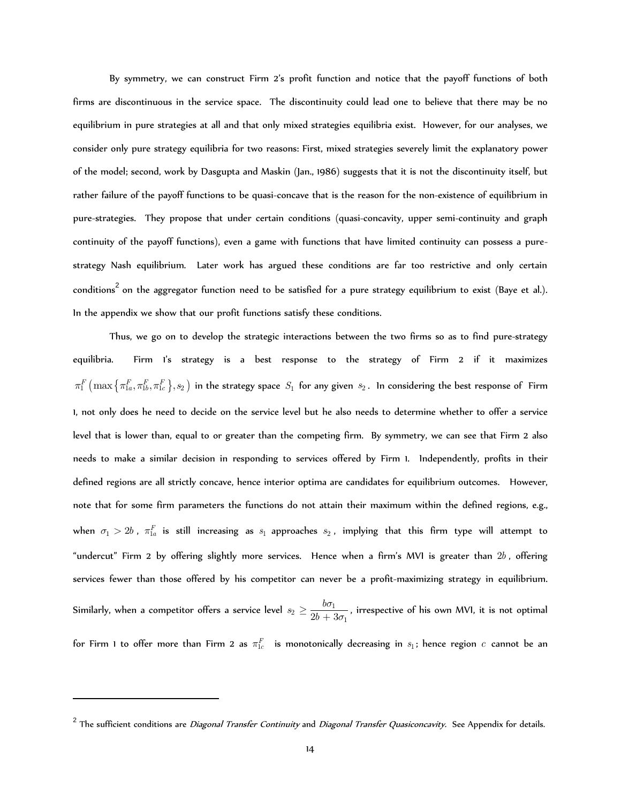By symmetry, we can construct Firm 2's profit function and notice that the payoff functions of both firms are discontinuous in the service space. The discontinuity could lead one to believe that there may be no equilibrium in pure strategies at all and that only mixed strategies equilibria exist. However, for our analyses, we consider only pure strategy equilibria for two reasons: First, mixed strategies severely limit the explanatory power of the model; second, work by Dasgupta and Maskin (Jan., 1986) suggests that it is not the discontinuity itself, but rather failure of the payoff functions to be quasi-concave that is the reason for the non-existence of equilibrium in pure-strategies. They propose that under certain conditions (quasi-concavity, upper semi-continuity and graph continuity of the payoff functions), even a game with functions that have limited continuity can possess a purestrategy Nash equilibrium. Later work has argued these conditions are far too restrictive and only certain conditions<sup>2</sup> on the aggregator function need to be satisfied for a pure strategy equilibrium to exist (Baye et al.). In the appendix we show that our profit functions satisfy these conditions.

Thus, we go on to develop the strategic interactions between the two firms so as to find pure-strategy equilibria. Firm 1's strategy is a best response to the strategy of Firm 2 if it maximizes  $\pi_1^F\left(\max\left\{\pi_{1a}^F,\pi_{1b}^F,\pi_{1c}^F\right\},s_2\right)$  in the strategy space  $S_1$  for any given  $s_2$  . In considering the best response of Firm 1, not only does he need to decide on the service level but he also needs to determine whether to offer a service level that is lower than, equal to or greater than the competing firm. By symmetry, we can see that Firm 2 also needs to make a similar decision in responding to services offered by Firm 1. Independently, profits in their defined regions are all strictly concave, hence interior optima are candidates for equilibrium outcomes. However, note that for some firm parameters the functions do not attain their maximum within the defined regions, e.g., when  $\sigma_1 > 2b$  ,  $\pi^F_{1a}$  is still increasing as  $s_1$  approaches  $s_2$  , implying that this firm type will attempt to 'undercut' Firm 2 by offering slightly more services. Hence when a firm's MVI is greater than 2*b* , offering services fewer than those offered by his competitor can never be a profit-maximizing strategy in equilibrium. Similarly, when a competitor offers a service level  $s_2 \geq \frac{w_{01}}{2b + 3\sigma_1}$  $s_2 \ge \frac{b}{2b}$  $\sigma$  $\geq \frac{30}{2b+3\sigma_1}$ , irrespective of his own MVI, it is not optimal for Firm 1 to offer more than Firm 2 as  $\pi^F_{1c}$  is monotonically decreasing in  $s_1$ ; hence region  $c$  cannot be an

I

<sup>&</sup>lt;sup>2</sup> The sufficient conditions are *Diagonal Transfer Continuity* and *Diagonal Transfer Quasiconcavity.* See Appendix for details.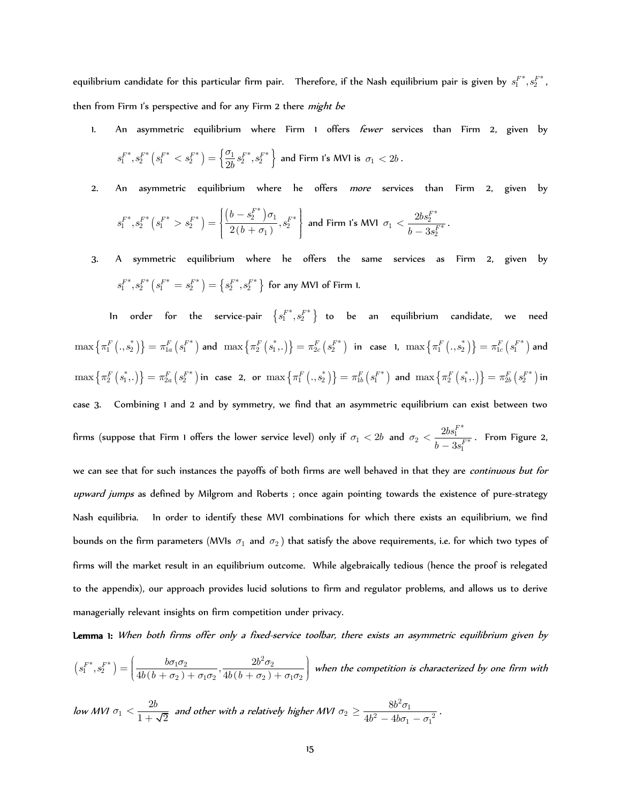equilibrium candidate for this particular firm pair. Therefore, if the Nash equilibrium pair is given by  $s_1^{F*},s_2^{F*}$ , then from Firm 1's perspective and for any Firm 2 there *might be* 

1. An asymmetric equilibrium where Firm 1 offers *fewer* services than Firm 2, given by

$$
s_1^{F^*}, s_2^{F^*} (s_1^{F^*} < s_2^{F^*}) = \left\{ \frac{\sigma_1}{2b} s_2^{F^*}, s_2^{F^*} \right\} \text{ and Firm i's MVI is } \sigma_1 < 2b \,.
$$

- 2. An asymmetric equilibrium where he offers more services than Firm 2, given by  $s_1^{F^*} > s_2^{F^*}$  $(b-s_2^{F^{*}})$  $(b+\sigma_1)$  $s_{1}^{F^*},s_{2}^{F^*}\left(s_{1}^{F^*}>s_{2}^{F^*}\right)=\Bigg\{\frac{\left(b-s_{2}^{F^*}\right)\sigma_{1}}{2\left(b+\sigma_{1}\right)},s_{2}^{F^*}\Bigg\}$ *F*  $F^*_{1}$ ,  $s_0^{F^*}$   $(s_1^{F^*} > s_0^{F^*}) = \frac{\left(\left(b - s_2^{F^*}\right) \sigma_1\right)}{s_1^{F^*} s_2^{F^*}}$  $s_1^{F^*}, s_2^{F^*} (s_1^{F^*} > s_2^{F^*}) = \bigg\{ \frac{\left(b - s_2^{F^*}\right) \sigma_1}{2\left(b + \sigma_1\right)}, s_2^{F^*}$  $\sigma$  $> s_2^{F^*}$ ) =  $\left\{\frac{\left(b-s_2^{F^*}\right) \sigma_1}{2\left(b+\sigma_1\right)}, s_2^{F^*} \right\}$  and and Firm 1's MVI  $\sigma_1 < \dfrac{2 b s_2^{F^*}}{b - 3 s_2^{F^*}}$ 2 3 *F F bs*  $b - 3s$  $\sigma_1$  <  $\overline{\phantom{0}}$ .
- 3. A symmetric equilibrium where he offers the same services as Firm 2, given by  $s_1^{F^*}, s_2^{F^*} \left(s_1^{F^*}=s_2^{F^*}\right)= \left\{s_2^{F^*}, s_2^{F^*}\right\}$  for any MVI of Firm 1.

In order for the service-pair  $\left\{s_{1}^{F^*}, s_{2}^{F^*}\right\}$  to be an equilibrium candidate, we need  $\max\left\{\pi_1^F\left(.,s_2^*\right)\right\} = \pi_{1a}^F\left(s_1^{F*}\right)$  and  $\max\left\{\pi_2^F\left(s_1^*,.\right)\right\} = \pi_{2c}^F\left(s_2^{F*}\right)$  in case 1,  $\max\left\{\pi_1^F\left(.,s_2^*\right)\right\} = \pi_{1c}^F\left(s_1^{F*}\right)$  and  $\max\left\{\pi_2^F\left(s_1^*,.\right)\right\} = \pi_{2a}^F\left(s_2^{F^*}\right)$  in case 2, or  $\max\left\{\pi_1^F\left(.,s_2^*\right)\right\} = \pi_{1b}^F\left(s_1^{F^*}\right)$  and  $\max\left\{\pi_2^F\left(s_1^*,.\right)\right\} = \pi_{2b}^F\left(s_2^{F^*}\right)$  in case 3. Combining 1 and 2 and by symmetry, we find that an asymmetric equilibrium can exist between two firms (suppose that Firm 1 offers the lower service level) only if  $\sigma_1 < 2b$  and  $\sigma_2 < \dfrac{2 b s_1^{F^*}}{b-3s_1^{F^*}}$ 2 3 *F F bs*  $b - 3s$  $\sigma_2$  <  $\frac{20s_1}{-3s_1^{F^*}}$ . From Figure 2, we can see that for such instances the payoffs of both firms are well behaved in that they are *continuous but for* upward jumps as defined by Milgrom and Roberts ; once again pointing towards the existence of pure-strategy Nash equilibria. In order to identify these MVI combinations for which there exists an equilibrium, we find bounds on the firm parameters (MVIs  $\sigma_1$  and  $\sigma_2$ ) that satisfy the above requirements, i.e. for which two types of firms will the market result in an equilibrium outcome. While algebraically tedious (hence the proof is relegated to the appendix), our approach provides lucid solutions to firm and regulator problems, and allows us to derive managerially relevant insights on firm competition under privacy.

**Lemma 1:** When both firms offer only a fixed-service toolbox, there exists an asymmetric equilibrium given by\n
$$
\left(s_1^{F^*}, s_2^{F^*}\right) = \left(\frac{b\sigma_1\sigma_2}{4b(b+\sigma_2)+\sigma_1\sigma_2}, \frac{2b^2\sigma_2}{4b(b+\sigma_2)+\sigma_1\sigma_2}\right)
$$
\nwhen the competition is characterized by one firm with

low MVI  $\sigma_1 < \frac{2}{1+\sigma}$  $1 + \sqrt{2}$  $\sigma_1<\displaystyle\frac{2b}{1+\sqrt{2}}\,$  and other with a relatively higher MVI  $\epsilon_2 \geq \frac{8b^2 \sigma_1}{4b^2 - 4b \sigma_1 - {\sigma_1}^2}$ 8  $4b^2-4$ *b*  $b^2 - 4b$  $\sigma_2 \geq \frac{8b^2\sigma_1}{4b^2 - 4b\sigma_1 - {\sigma_1}^2}$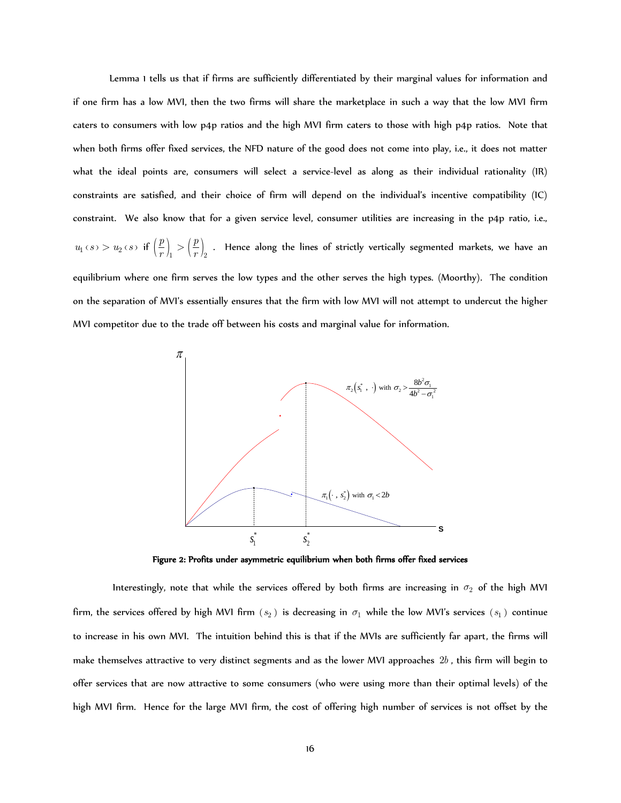Lemma 1 tells us that if firms are sufficiently differentiated by their marginal values for information and if one firm has a low MVI, then the two firms will share the marketplace in such a way that the low MVI firm caters to consumers with low p4p ratios and the high MVI firm caters to those with high p4p ratios. Note that when both firms offer fixed services, the NFD nature of the good does not come into play, i.e., it does not matter what the ideal points are, consumers will select a service-level as along as their individual rationality (IR) constraints are satisfied, and their choice of firm will depend on the individual's incentive compatibility (IC) constraint. We also know that for a given service level, consumer utilities are increasing in the p4p ratio, i.e.,  $u_1(s) > u_2(s)$  if  $\left(\frac{p}{r}\right)_1 > \left(\frac{p}{r}\right)_2$  $p \rightarrow$  *p*  $\left(\frac{P}{r}\right)_1 > \left(\frac{P}{r}\right)_2$  . Hence along the lines of strictly vertically segmented markets, we have an equilibrium where one firm serves the low types and the other serves the high types. (Moorthy). The condition on the separation of MVI's essentially ensures that the firm with low MVI will not attempt to undercut the higher MVI competitor due to the trade off between his costs and marginal value for information.



Figure 2: Profits under asymmetric equilibrium when both firms offer fixed services

Interestingly, note that while the services offered by both firms are increasing in  $\sigma_2$  of the high MVI firm, the services offered by high MVI firm  $(s_2)$  is decreasing in  $\sigma_1$  while the low MVI's services  $(s_1)$  continue to increase in his own MVI. The intuition behind this is that if the MVIs are sufficiently far apart, the firms will make themselves attractive to very distinct segments and as the lower MVI approaches 2*b* , this firm will begin to offer services that are now attractive to some consumers (who were using more than their optimal levels) of the high MVI firm. Hence for the large MVI firm, the cost of offering high number of services is not offset by the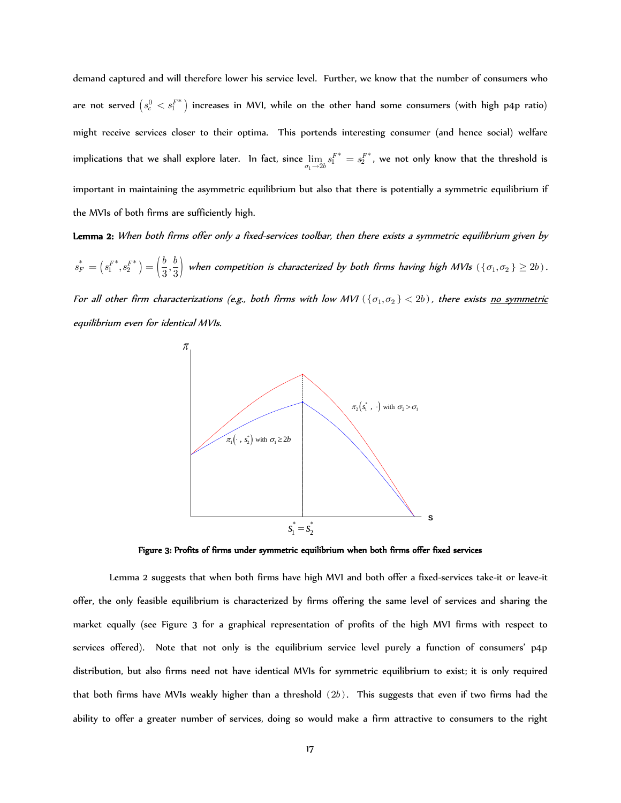demand captured and will therefore lower his service level. Further, we know that the number of consumers who are not served  $\left(s_c^0 < s_{\rm I}^{F*}\right)$  increases in MVI, while on the other hand some consumers (with high p4p ratio) might receive services closer to their optima. This portends interesting consumer (and hence social) welfare implications that we shall explore later. In fact, since  $\frac{1}{\sigma_1}$  $\lim_{\sigma_1\to 2b} s_1^{F^*}=s_2^{F^*}$ , we not only know that the threshold is important in maintaining the asymmetric equilibrium but also that there is potentially a symmetric equilibrium if the MVIs of both firms are sufficiently high.

Lemma 2: When both firms offer only a fixed-services toolbar, then there exists a symmetric equilibrium given by  $s_F^*=\left(s_1^{F^*},s_2^{F^*}\right)=\left(\frac{b}{3},\frac{b}{3}\right)$  when competition is characterized by both firms having high MVIs  $(\{\sigma_1,\sigma_2\}\geq 2b)$  . For all other firm characterizations (e.g., both firms with low MVI  $(\{\sigma_1,\sigma_2\} < 2b)$ ), there exists <u>no symmetric</u>

equilibrium even for identical MVIs.



Figure 3: Profits of firms under symmetric equilibrium when both firms offer fixed services

Lemma 2 suggests that when both firms have high MVI and both offer a fixed-services take-it or leave-it offer, the only feasible equilibrium is characterized by firms offering the same level of services and sharing the market equally (see Figure 3 for a graphical representation of profits of the high MVI firms with respect to services offered). Note that not only is the equilibrium service level purely a function of consumers' p4p distribution, but also firms need not have identical MVIs for symmetric equilibrium to exist; it is only required that both firms have MVIs weakly higher than a threshold 2*b* . This suggests that even if two firms had the ability to offer a greater number of services, doing so would make a firm attractive to consumers to the right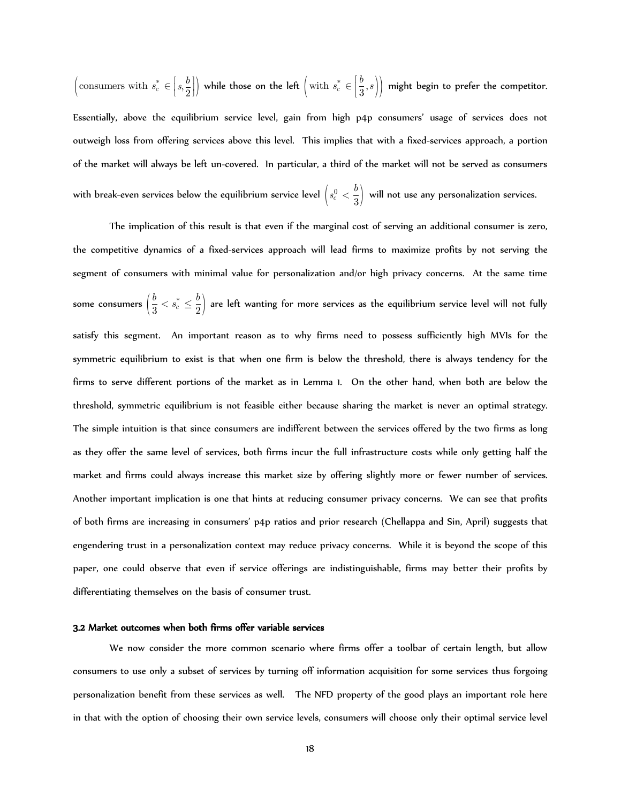consumers with  $s_c^* \in \left[s, \frac{b}{2}\right]$  $\in \left[s,\frac{b}{2}\right]\right)$  w while those on the left  $\left(\text{with } s^*_c \in \left[\frac{b}{3}, s\right)\right)$  might begin to prefer the competitor. ſ  $\overline{\phantom{a}}$ Essentially, above the equilibrium service level, gain from high p4p consumers' usage of services does not outweigh loss from offering services above this level. This implies that with a fixed-services approach, a portion of the market will always be left un-covered. In particular, a third of the market will not be served as consumers with break-even services below the equilibrium service level  $\left\lfloor s_c^0 < \frac{b}{3} \right\rfloor$  $s_{c}^{0}<\frac{b}{3}\Big\}$  will not use any personalization services.

Consumers with  $s_c \in [s_i \frac{1}{2}]]$  while those on the left (we<br>
Essentially, above the equilibrium service level, gain from<br>
Essentially, above the equilibrium service level, gain from<br>
ontweigh loss from offering services The implication of this result is that even if the marginal cost of serving an additional consumer is zero, the competitive dynamics of a fixed-services approach will lead firms to maximize profits by not serving the segment of consumers with minimal value for personalization and/or high privacy concerns. At the same time some consumers  $\left(\frac{b}{3}< s_c^*\leq \frac{b}{2}\right)$  are left wanting for more services as the equilibrium service level will not fully satisfy this segment. An important reason as to why firms need to possess sufficiently high MVIs for the symmetric equilibrium to exist is that when one firm is below the threshold, there is always tendency for the firms to serve different portions of the market as in Lemma 1. On the other hand, when both are below the threshold, symmetric equilibrium is not feasible either because sharing the market is never an optimal strategy. The simple intuition is that since consumers are indifferent between the services offered by the two firms as long as they offer the same level of services, both firms incur the full infrastructure costs while only getting half the market and firms could always increase this market size by offering slightly more or fewer number of services. Another important implication is one that hints at reducing consumer privacy concerns. We can see that profits of both firms are increasing in consumers' p4p ratios and prior research (Chellappa and Sin, April) suggests that engendering trust in a personalization context may reduce privacy concerns. While it is beyond the scope of this paper, one could observe that even if service offerings are indistinguishable, firms may better their profits by differentiating themselves on the basis of consumer trust.

## 3.2 Market outcomes when both firms offer variable services

We now consider the more common scenario where firms offer a toolbar of certain length, but allow consumers to use only a subset of services by turning off information acquisition for some services thus forgoing personalization benefit from these services as well. The NFD property of the good plays an important role here in that with the option of choosing their own service levels, consumers will choose only their optimal service level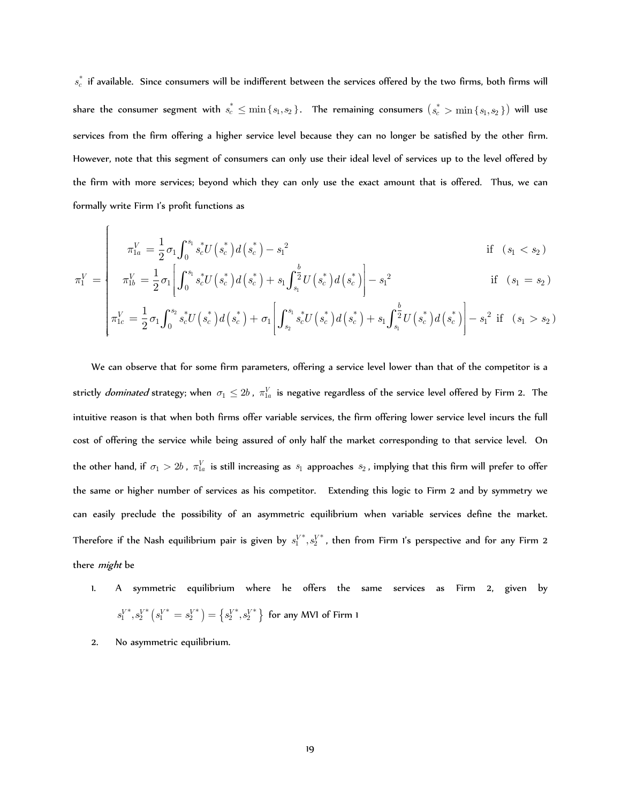$s_c^\ast$  if available. Since consumers will be indifferent between the services offered by the two firms, both firms will share the consumer segment with  $s_c^* \leq \min\{s_1,s_2\}$ . The remaining consumers  $(s_c^* > \min\{s_1,s_2\})$  will use services from the firm offering a higher service level because they can no longer be satisfied by the other firm. However, note that this segment of consumers can only use their ideal level of services up to the level offered by the firm with more services; beyond which they can only use the exact amount that is offered. Thus, we can formally write Firm 1's profit functions as

formally write Firm 1's profit functions as  
\n
$$
\pi_1^V = \begin{cases}\n\pi_{1a}^V = \frac{1}{2} \sigma_1 \int_0^{s_1} s_c^* U(s_c^*) d(s_c^*) - s_1^2 & \text{if } (s_1 < s_2) \\
\pi_1^V = \begin{cases}\n\pi_{1b}^V = \frac{1}{2} \sigma_1 \left[ \int_0^{s_1} s_c^* U(s_c^*) d(s_c^*) + s_1 \int_{s_1}^{\frac{b}{2}} U(s_c^*) d(s_c^*) \right] - s_1^2 & \text{if } (s_1 = s_2) \\
\pi_{1c}^V = \frac{1}{2} \sigma_1 \int_0^{s_2} s_c^* U(s_c^*) d(s_c^*) + \sigma_1 \left[ \int_{s_2}^{s_1} s_c^* U(s_c^*) d(s_c^*) + s_1 \int_{s_1}^{\frac{b}{2}} U(s_c^*) d(s_c^*) \right] - s_1^2 & \text{if } (s_1 > s_2)\n\end{cases}
$$

$$
\pi_{1}^{V} = \begin{vmatrix}\n\pi_{1a}^{V} = \frac{1}{2}\sigma_{1}\int_{0} s_{c}U(s_{c})d(s_{c}) - s_{1}^{2} & \text{if } (s_{1} < s_{2}) \\
\pi_{1b}^{V} = \frac{1}{2}\sigma_{1}\left[\int_{0}^{s_{1}} s_{c}^{*}U(s_{c}^{*})d(s_{c}^{*}) + s_{1}\int_{s_{1}}^{s_{2}}U(s_{c}^{*})d(s_{c}^{*})\right] - s_{1}^{2} & \text{if } (s_{1} = s_{2}) \\
\pi_{1c}^{V} = \frac{1}{2}\sigma_{1}\int_{0}^{s_{2}} s_{c}^{*}U(s_{c}^{*})d(s_{c}^{*}) + \sigma_{1}\left[\int_{s_{c}}^{s_{1}} s_{c}^{*}U(s_{c}^{*})d(s_{c}^{*}) + s_{1}\int_{s_{c}}^{s_{2}}U(s_{c}^{*})d(s_{c}^{*})\right] - s_{1}^{2} & \text{if } (s_{1} > s_{2})\n\end{vmatrix}
$$

$$
\pi_{1b}^{V} = \begin{cases}\n\pi_{1b}^{V} = \frac{1}{2}\sigma_{1} \left[ \int_{0}^{s_{1}} s_{c}^{*} U(s_{c}^{*}) d(s_{c}^{*}) + s_{1} \int_{s_{1}}^{2} U(s_{c}^{*}) d(s_{c}^{*}) \right] - s_{1}^{2} & \text{if } (s_{1} = s_{2}) \\
\pi_{1c}^{V} = \frac{1}{2}\sigma_{1} \int_{0}^{s_{2}} s_{c}^{*} U(s_{c}^{*}) d(s_{c}^{*}) + \sigma_{1} \left[ \int_{s_{2}}^{s_{1}} s_{c}^{*} U(s_{c}^{*}) d(s_{c}^{*}) + s_{1} \int_{s_{1}}^{2} U(s_{c}^{*}) d(s_{c}^{*}) \right] - s_{1}^{2} & \text{if } (s_{1} > s_{2})\n\end{cases}
$$

 $\vec{r}_e$  if available. Since consumers will be indifferent between<br>
vare the consumer segment with  $s_e^* \leq \min \{s_1, s_2\}$ .<br>
varies from the firm offering a higher service level becover, note that this segment of consumers We can observe that for some firm parameters, offering a service level lower than that of the competitor is a strictly *dominated* strategy; when  $\sigma_1\leq 2b$  ,  $\pi_{1a}^V$  is negative regardless of the service level offered by Firm 2. The intuitive reason is that when both firms offer variable services, the firm offering lower service level incurs the full cost of offering the service while being assured of only half the market corresponding to that service level. On the other hand, if  $\sigma_1>2b$  ,  $\pi_{1a}^V$  is still increasing as  $s_1$  approaches  $s_2$  , implying that this firm will prefer to offer the same or higher number of services as his competitor. Extending this logic to Firm 2 and by symmetry we can easily preclude the possibility of an asymmetric equilibrium when variable services define the market. Therefore if the Nash equilibrium pair is given by  $s_1^{V*},s_2^{V*}$ , then from Firm 1's perspective and for any Firm 2 there *might* be

- 1. A symmetric equilibrium where he offers the same services as Firm 2, given by  $s_1^{V^*}, s_2^{V^*}\left(s_1^{V^*}=s_2^{V^*}\right)= \left\{s_2^{V^*}, s_2^{V^*}\right\}$  for any MVI of Firm 1
- 2. No asymmetric equilibrium.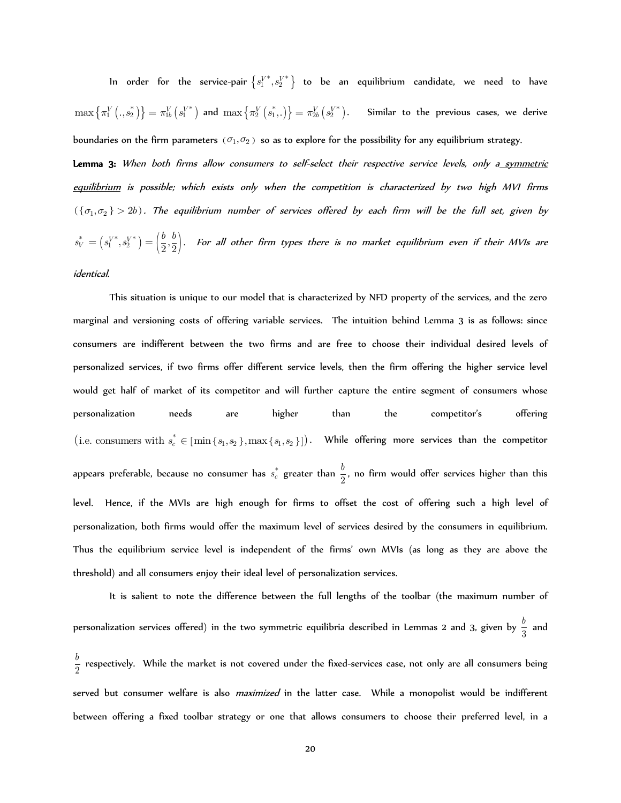In order for the service-pair $\left\{ s_{1}^{V^{\ast}},s_{2}^{V^{\ast}}\right\}$  to be an equilibrium candidate, we need to have  $\max\left\{\pi^V_1\left(.,s^*_2\right)\right\} = \pi^V_{1b}\left(s^{V^*}_1\right)$  and  $\max\left\{\pi^V_2\left(s^*_{1},.\right)\right\} = \pi^V_{2b}\left(s^{V^*}_2\right).$  Similar to the previous cases, we derive boundaries on the firm parameters  $(\sigma_1, \sigma_2)$  so as to explore for the possibility for any equilibrium strategy.

Lemma 3: When both firms allow consumers to self-select their respective service levels, only a symmetric equilibrium is possible; which exists only when the competition is characterized by two high MVI firms  $(\{\sigma_1, \sigma_2\} > 2b)$ . The equilibrium number of services offered by each firm will be the full set, given by  $s_V^*=\left(s^{V^*}_1,s^{V^*}_2\right)=\left(\frac{b}{2},\frac{b}{2}\right)$ . For all other firm types there is no market equilibrium even if their MVIs are

identical.

This situation is unique to our model that is characterized by NFD property of the services, and the zero marginal and versioning costs of offering variable services. The intuition behind Lemma 3 is as follows: since consumers are indifferent between the two firms and are free to choose their individual desired levels of personalized services, if two firms offer different service levels, then the firm offering the higher service level would get half of market of its competitor and will further capture the entire segment of consumers whose personalization needs are higher than the competitor's offering (i.e. consumers with  $s_c^* \in [\min\{s_1, s_2\}, \max\{s_1, s_2\}])$ 1.e. consumers with  $s_c^* \in [\min\{s_1, s_2\}, \max\{s_1, s_2\}])$ . While offering more services than the competitor appears preferable, because no consumer has  $s_c^*$  greater than  $\frac{\theta}{2}$  $\frac{b}{\alpha}$ , no firm would offer services higher than this level. Hence, if the MVIs are high enough for firms to offset the cost of offering such a high level of personalization, both firms would offer the maximum level of services desired by the consumers in equilibrium. Thus the equilibrium service level is independent of the firms' own MVIs (as long as they are above the threshold) and all consumers enjoy their ideal level of personalization services.

It is salient to note the difference between the full lengths of the toolbar (the maximum number of personalization services offered) in the two symmetric equilibria described in Lemmas 2 and 3, given by  $\frac{\sigma}{3}$  $\frac{b}{a}$  and 2  $\frac{b}{\alpha}$  respectively. While the market is not covered under the fixed-services case, not only are all consumers being served but consumer welfare is also *maximized* in the latter case. While a monopolist would be indifferent between offering a fixed toolbar strategy or one that allows consumers to choose their preferred level, in a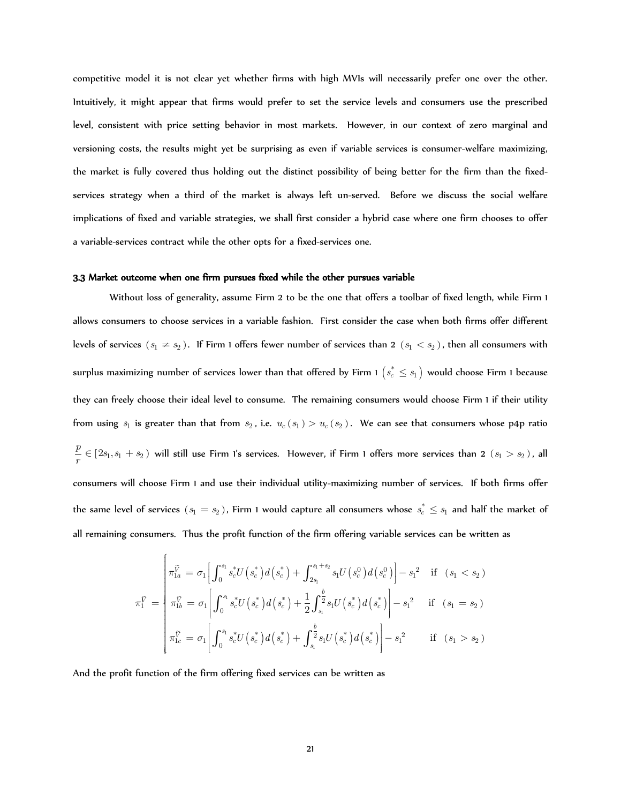competitive model it is not clear yet whether firms with high MVIs will necessarily prefer one over the other. Intuitively, it might appear that firms would prefer to set the service levels and consumers use the prescribed level, consistent with price setting behavior in most markets. However, in our context of zero marginal and versioning costs, the results might yet be surprising as even if variable services is consumer-welfare maximizing, the market is fully covered thus holding out the distinct possibility of being better for the firm than the fixedservices strategy when a third of the market is always left un-served. Before we discuss the social welfare implications of fixed and variable strategies, we shall first consider a hybrid case where one firm chooses to offer a variable-services contract while the other opts for a fixed-services one.

#### 3.3 Market outcome when one firm pursues fixed while the other pursues variable

Without loss of generality, assume Firm 2 to be the one that offers a toolbar of fixed length, while Firm 1 allows consumers to choose services in a variable fashion. First consider the case when both firms offer different levels of services  $(s_1 \neq s_2)$ . If Firm 1 offers fewer number of services than 2  $(s_1 < s_2)$ , then all consumers with surplus maximizing number of services lower than that offered by Firm 1  $(s^*_c\leq s_1)$  would choose Firm 1 because they can freely choose their ideal level to consume. The remaining consumers would choose Firm 1 if their utility from using  $s_1$  is greater than that from  $s_2$ , i.e.  $u_c(s_1) > u_c(s_2)$ . We can see that consumers whose p4p ratio  $\frac{p}{r}\in [2s_1,s_1+s_2)$  will still use Firm 1's services. However, if Firm 1 offers more services than 2  $(s_1>s_2)$ , all consumers will choose Firm 1 and use their individual utility-maximizing number of services. If both firms offer the same level of services  $(s_1 = s_2)$ , Firm 1 would capture all consumers whose  $s_c^* \leq s_1$  and half the market of

all remaining consumers. Thus the profit function of the firm offering variable services can be written as\n
$$
\pi_1^{\tilde{V}} = \n\begin{cases}\n\pi_{1a}^{\tilde{V}} = \n\sigma_1 \left[ \int_0^{s_1} s_c^* U(s_c^*) d(s_c^*) + \int_{2s_1}^{s_1 + s_2} s_1 U(s_c^0) d(s_c^0) \right] - s_1^2 \quad \text{if } (s_1 < s_2) \\
\pi_1^{\tilde{V}} = \n\pi_{1b}^{\tilde{V}} = \n\sigma_1 \left[ \int_0^{s_1} s_c^* U(s_c^*) d(s_c^*) + \frac{1}{2} \int_{s_1}^{\frac{t}{2}} s_1 U(s_c^*) d(s_c^*) \right] - s_1^2 \quad \text{if } (s_1 = s_2) \\
\pi_{1c}^{\tilde{V}} = \n\sigma_1 \left[ \int_0^{s_1} s_c^* U(s_c^*) d(s_c^*) + \int_{s_1}^{\frac{b}{2}} s_1 U(s_c^*) d(s_c^*) \right] - s_1^2 \quad \text{if } (s_1 > s_2)\n\end{cases}
$$

And the profit function of the firm offering fixed services can be written as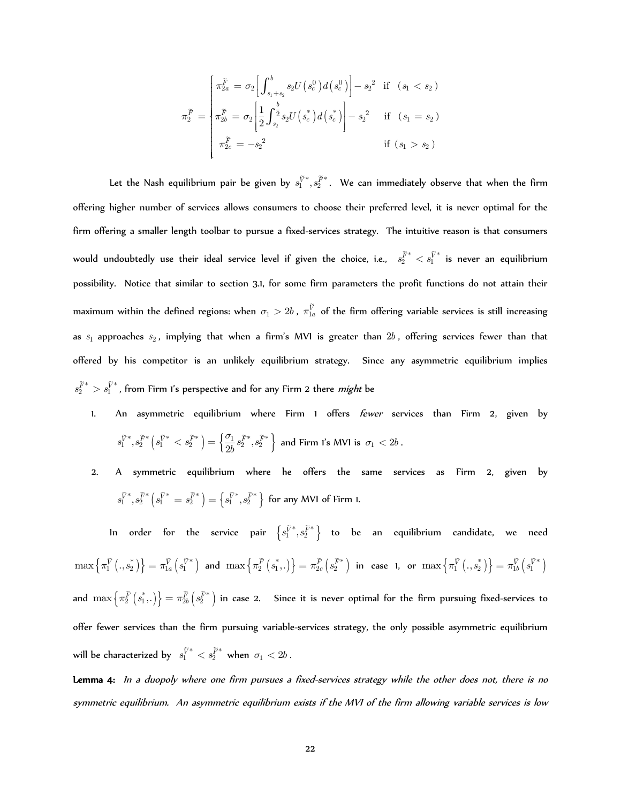$$
\pi_2^{\widetilde{F}} = \begin{cases}\n\pi_{2a}^{\widetilde{F}} = \sigma_2 \left[ \int_{s_1+s_2}^b s_2 U(s_c^0) d(s_c^0) \right] - s_2^2 & \text{if } (s_1 < s_2) \\
\pi_2^{\widetilde{F}} = \pi_{2b}^{\widetilde{F}} = \sigma_2 \left[ \frac{1}{2} \int_{s_2}^{\frac{b}{2}} s_2 U(s_c^*) d(s_c^*) \right] - s_2^2 & \text{if } (s_1 = s_2) \\
\pi_{2c}^{\widetilde{F}} = -s_2^2 & \text{if } (s_1 > s_2)\n\end{cases}
$$

Let the Nash equilibrium pair be given by  $s_1^{\widetilde V^\ast}, s_2^{\widetilde F^\ast}.$  We can immediately observe that when the firm offering higher number of services allows consumers to choose their preferred level, it is never optimal for the firm offering a smaller length toolbar to pursue a fixed-services strategy. The intuitive reason is that consumers would undoubtedly use their ideal service level if given the choice, i.e.,  $s_2^{\widetilde{F}^*}< s_1^{\widetilde{V}^*}$  is never an equilibrium possibility. Notice that similar to section 3.1, for some firm parameters the profit functions do not attain their maximum within the defined regions: when  $\sigma_1>2b$  ,  $\pi_{1a}^{\tilde{V}}$  of the firm offering variable services is still increasing as  $s_1$  approaches  $s_2$ , implying that when a firm's MVI is greater than  $2b$ , offering services fewer than that offered by his competitor is an unlikely equilibrium strategy. Since any asymmetric equilibrium implies  $s_{2}^{\widetilde{F}^{\ast}} > s_{1}^{\widetilde{V}^{\ast}}$  , from Firm 1's perspective and for any Firm 2 there *might* be

- 1. An asymmetric equilibrium where Firm 1 offers *fewer* services than Firm 2, given by  $s_1^{\widetilde{V}^*},s_2^{\widetilde{F}^*}\left(s_1^{\widetilde{V}^*} and Firm 1's MVI is  $\sigma_1< 2b$  .$
- 2. A symmetric equilibrium where he offers the same services as Firm 2, given by  $s_1^{\widetilde{V}^*},s_2^{\widetilde{F}^*}\left(s_1^{\widetilde{V}^*}=s_2^{\widetilde{F}^*}\right)=\left\lbrace s_1^{\widetilde{V}^*},s_2^{\widetilde{F}^*}\right\rbrace$  for any MVI of Firm 1.

In order for the service pair  $\left\{ s_{1}^{\widetilde{V}^{\ast}},s_{2}^{\widetilde{F}^{\ast}}\right\}$  to be an equilibrium candidate, we need  $\max\left\{\pi_1^{\widetilde{V}}\left(.,s_2^*\right)\right\} = \pi_{1a}^{\widetilde{V}}\left(s_1^{\widetilde{V}*}\right)$  and  $\max\left\{\pi_2^{\widetilde{F}}\left(s_1^*,.\right)\right\} = \pi_{2c}^{\widetilde{F}}\left(s_2^{\widetilde{F}*}\right)$  in case 1, or  $\max\left\{\pi_1^{\widetilde{V}}\left(.,s_2^*\right)\right\} = \pi_{1b}^{\widetilde{V}}\left(s_1^{\widetilde{V}*}\right)$ and  $\max\left\{\pi^{\widetilde{F}}_2\left(s^*_1,.\right)\right\}=\pi^{\widetilde{F}}_{2b}\left(s^{\widetilde{F}^*}_2\right)$  in case 2. Since it is never optimal for the firm pursuing fixed-services to offer fewer services than the firm pursuing variable-services strategy, the only possible asymmetric equilibrium will be characterized by  $\ s_{1}^{\widetilde{V}^*} < s_{2}^{\widetilde{F}^*}$  when  $\sigma_{1} < 2b$  .

Lemma 4: In a duopoly where one firm pursues a fixed-services strategy while the other does not, there is no symmetric equilibrium. An asymmetric equilibrium exists if the MVI of the firm allowing variable services is low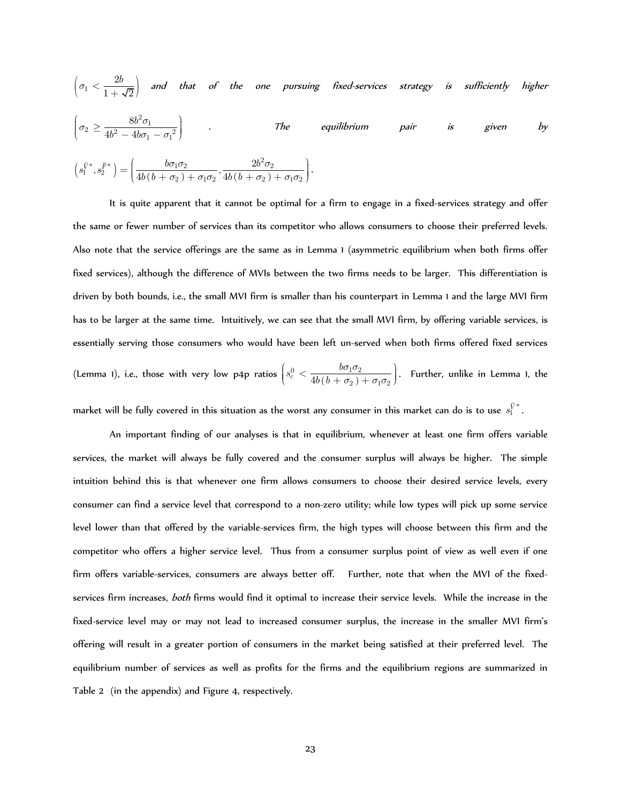$$
\left(\sigma_1 < \frac{2b}{1+\sqrt{2}}\right) \quad \text{and} \quad \text{that} \quad \text{of} \quad \text{the} \quad \text{one} \quad \text{pursuing} \quad \text{fixed-service} \quad \text{strategy} \quad \text{is} \quad \text{sufficiently} \quad \text{higher}
$$
\n
$$
\left(\sigma_2 \geq \frac{8b^2 \sigma_1}{4b^2 - 4b \sigma_1 - \sigma_1^2}\right) \qquad \qquad \text{The} \quad \text{equilibrium} \quad \text{pair} \quad \text{is} \quad \text{given} \quad \text{by}
$$
\n
$$
\left(s_1^{\tilde{V}^*}, s_2^{\tilde{F}^*}\right) = \left(\frac{b \sigma_1 \sigma_2}{4b(b + \sigma_2) + \sigma_1 \sigma_2}, \frac{2b^2 \sigma_2}{4b(b + \sigma_2) + \sigma_1 \sigma_2}\right).
$$

It is quite apparent that it cannot be optimal for a firm to engage in a fixed-services strategy and offer the same or fewer number of services than its competitor who allows consumers to choose their preferred levels. Also note that the service offerings are the same as in Lemma 1 (asymmetric equilibrium when both firms offer fixed services), although the difference of MVIs between the two firms needs to be larger. This differentiation is driven by both bounds, i.e., the small MVI firm is smaller than his counterpart in Lemma 1 and the large MVI firm has to be larger at the same time. Intuitively, we can see that the small MVI firm, by offering variable services, is essentially serving those consumers who would have been left un-served when both firms offered fixed services (Lemma 1), i.e., those with very low p4p ratios  $\left| \frac{s_c^0}{4b(b+\sigma_2)} \right|$  $\int_{0}^{0} 1$   $\int_{0}^{0} 1$  $s_c^0 < \frac{b\sigma_1\sigma_2}{4b(b+\sigma_2)+\sigma_1\sigma_2}$  $\sigma_1 \sigma_2$  $\frac{\sigma_1 \sigma_2}{\sigma_2 + \sigma_1 \sigma_2}$  $\Big(s_c^0<\frac{b\sigma_1\sigma_2}{4b\left(b+\sigma_2\right)+\sigma_1\sigma_2}\Big).$  Further, unlike in Lemma 1, the

market will be fully covered in this situation as the worst any consumer in this market can do is to use  $s_1^{\tilde V^*}.$ 

 $(\sigma_1 < \frac{8\beta^2 \sigma_1}{1 + \sqrt{2}})$  and that of the one pursum,<br>  $\left(\sigma_2 \geq \frac{8\beta^2 \sigma_1}{4b^2 - 4b\sigma_1 - \sigma_1^2}\right)$  . The<br>  $\left(s^{\alpha_1}, s^{\alpha_2}_{\alpha_1}\right) = \left(\frac{b\sigma_1\sigma_2}{4b(b + \sigma_2) + \sigma_1\sigma_2}, \frac{b\beta^2\sigma_2}{4b(b + \sigma_2) + \sigma_1\sigma_2}\right)$ .<br>  $\left(s^{\alpha_1}, s^$ An important finding of our analyses is that in equilibrium, whenever at least one firm offers variable services, the market will always be fully covered and the consumer surplus will always be higher. The simple intuition behind this is that whenever one firm allows consumers to choose their desired service levels, every consumer can find a service level that correspond to a non-zero utility; while low types will pick up some service level lower than that offered by the variable-services firm, the high types will choose between this firm and the competitor who offers a higher service level. Thus from a consumer surplus point of view as well even if one firm offers variable-services, consumers are always better off. Further, note that when the MVI of the fixedservices firm increases, both firms would find it optimal to increase their service levels. While the increase in the fixed-service level may or may not lead to increased consumer surplus, the increase in the smaller MVI firm's offering will result in a greater portion of consumers in the market being satisfied at their preferred level. The equilibrium number of services as well as profits for the firms and the equilibrium regions are summarized in Table 2 (in the appendix) and Figure 4, respectively.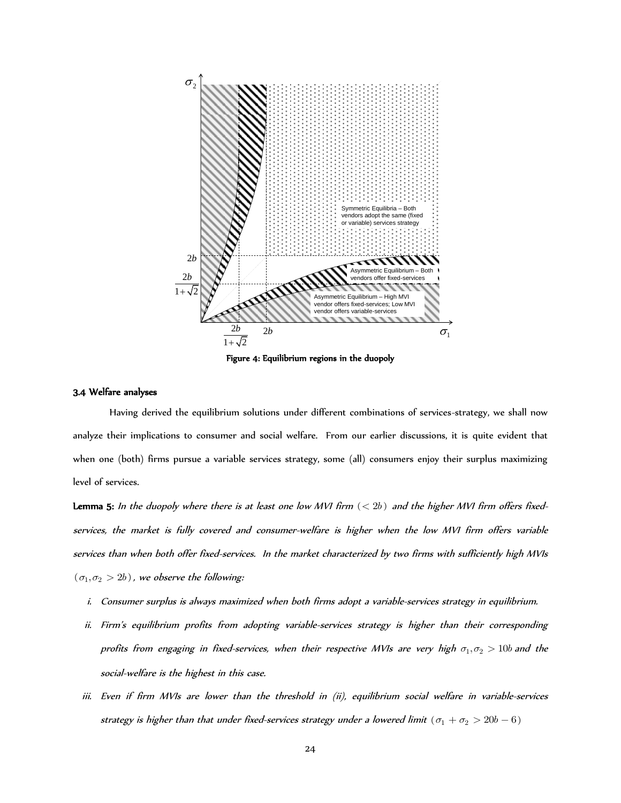

Figure 4: Equilibrium regions in the duopoly

## 3.4 Welfare analyses

Having derived the equilibrium solutions under different combinations of services-strategy, we shall now analyze their implications to consumer and social welfare. From our earlier discussions, it is quite evident that when one (both) firms pursue a variable services strategy, some (all) consumers enjoy their surplus maximizing level of services.

**Lemma 5:** In the duopoly where there is at least one low MVI firm (< 2b) and the higher MVI firm offers fixedservices, the market is fully covered and consumer-welfare is higher when the low MVI firm offers variable services than when both offer fixed-services. In the market characterized by two firms with sufficiently high MVIs  $(\sigma_1, \sigma_2 > 2b)$ , we observe the following:

- i. Consumer surplus is always maximized when both firms adopt a variable-services strategy in equilibrium.
- ii. Firm's equilibrium profits from adopting variable-services strategy is higher than their corresponding profits from engaging in fixed-services, when their respective MVIs are very high  $\sigma_1, \sigma_2 > 10b$  and the social-welfare is the highest in this case.
- iii. Even if firm MVIs are lower than the threshold in (ii), equilibrium social welfare in variable-services strategy is higher than that under fixed-services strategy under a lowered limit  $(\sigma_1 + \sigma_2 > 20b - 6)$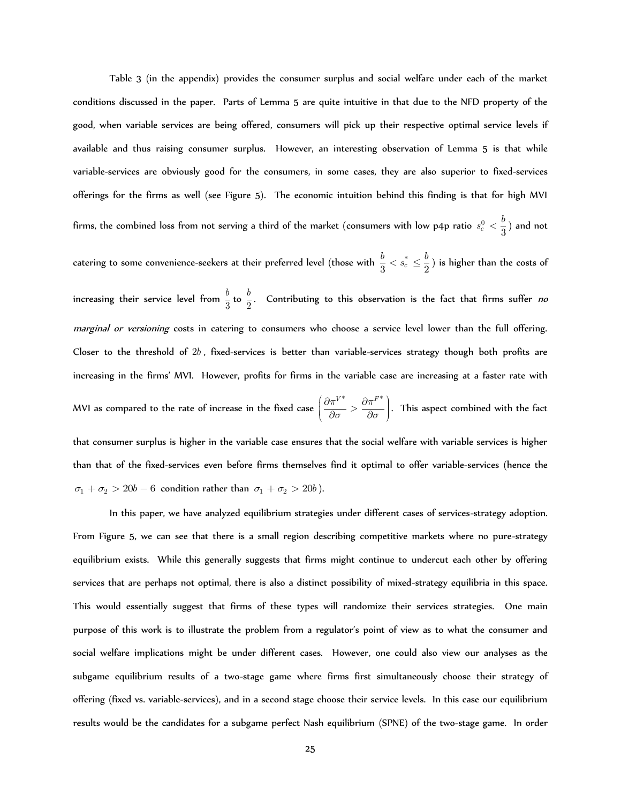Table 3 (in the appendix) provides the consumer surplus and social welfare under each of the market conditions discussed in the paper. Parts of Lemma 5 are quite intuitive in that due to the NFD property of the good, when variable services are being offered, consumers will pick up their respective optimal service levels if available and thus raising consumer surplus. However, an interesting observation of Lemma 5 is that while variable-services are obviously good for the consumers, in some cases, they are also superior to fixed-services offerings for the firms as well (see Figure 5). The economic intuition behind this finding is that for high MVI firms, the combined loss from not serving a third of the market (consumers with low p4p ratio  $\,s_c^0\,$  $s_{c}^{0}<\frac{b}{3}$ ) and not catering to some convenience-seekers at their preferred level (those with  $\frac{b}{3} < s^*_c \leq \frac{b}{2}$ ) is higher than the costs of increasing their service level from  $\frac{0}{3}$  $rac{b}{3}$  to  $rac{b}{2}$  $\frac{b}{\alpha}$ . Contributing to this observation is the fact that firms suffer *no* marginal or versioning costs in catering to consumers who choose a service level lower than the full offering. Closer to the threshold of 2b, fixed-services is better than variable-services strategy though both profits are increasing in the firms' MVI. However, profits for firms in the variable case are increasing at a faster rate with MVI as compared to the rate of increase in the fixed case  $\left(\frac{\partial \pi^{V^*}}{\partial z}\right)>\frac{\partial \pi^{F^*}}{\partial z}$  $\sigma$   $\partial \sigma$  $\left(\frac{\partial \pi^{V^*}}{\partial \sigma} > \frac{\partial \pi^{F^*}}{\partial \sigma}\right)$ . This aspect combined with the fact that consumer surplus is higher in the variable case ensures that the social welfare with variable services is higher than that of the fixed-services even before firms themselves find it optimal to offer variable-services (hence the  $\sigma_1 + \sigma_2 > 20b - 6$  condition rather than  $\sigma_1 + \sigma_2 > 20b$ ).

In this paper, we have analyzed equilibrium strategies under different cases of services-strategy adoption. From Figure 5, we can see that there is a small region describing competitive markets where no pure-strategy equilibrium exists. While this generally suggests that firms might continue to undercut each other by offering services that are perhaps not optimal, there is also a distinct possibility of mixed-strategy equilibria in this space. This would essentially suggest that firms of these types will randomize their services strategies. One main purpose of this work is to illustrate the problem from a regulator's point of view as to what the consumer and social welfare implications might be under different cases. However, one could also view our analyses as the subgame equilibrium results of a two-stage game where firms first simultaneously choose their strategy of offering (fixed vs. variable-services), and in a second stage choose their service levels. In this case our equilibrium results would be the candidates for a subgame perfect Nash equilibrium (SPNE) of the two-stage game. In order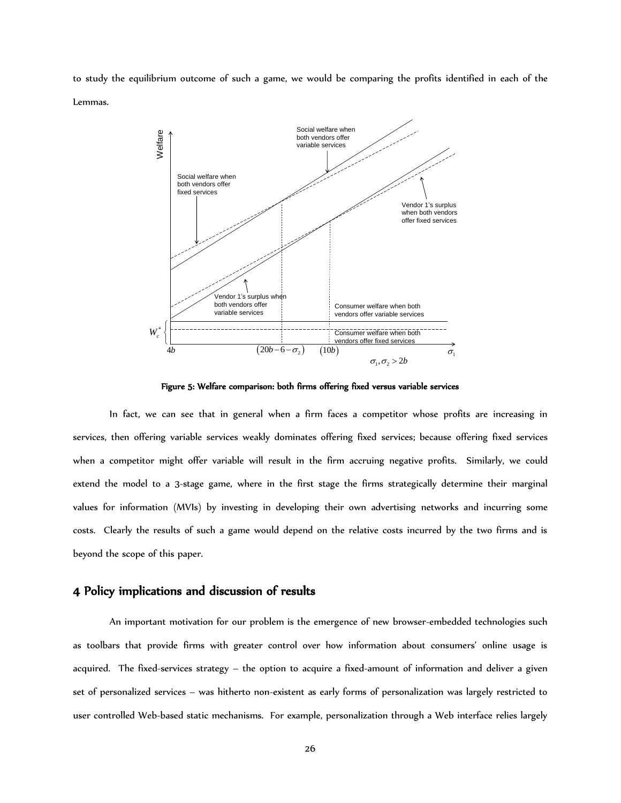to study the equilibrium outcome of such a game, we would be comparing the profits identified in each of the Lemmas.



Figure 5: Welfare comparison: both firms offering fixed versus variable services

In fact, we can see that in general when a firm faces a competitor whose profits are increasing in services, then offering variable services weakly dominates offering fixed services; because offering fixed services when a competitor might offer variable will result in the firm accruing negative profits. Similarly, we could extend the model to a 3-stage game, where in the first stage the firms strategically determine their marginal values for information (MVIs) by investing in developing their own advertising networks and incurring some costs. Clearly the results of such a game would depend on the relative costs incurred by the two firms and is beyond the scope of this paper.

# 4 Policy implications and discussion of results

An important motivation for our problem is the emergence of new browser-embedded technologies such as toolbars that provide firms with greater control over how information about consumers' online usage is acquired. The fixed-services strategy – the option to acquire a fixed-amount of information and deliver a given set of personalized services – was hitherto non-existent as early forms of personalization was largely restricted to user controlled Web-based static mechanisms. For example, personalization through a Web interface relies largely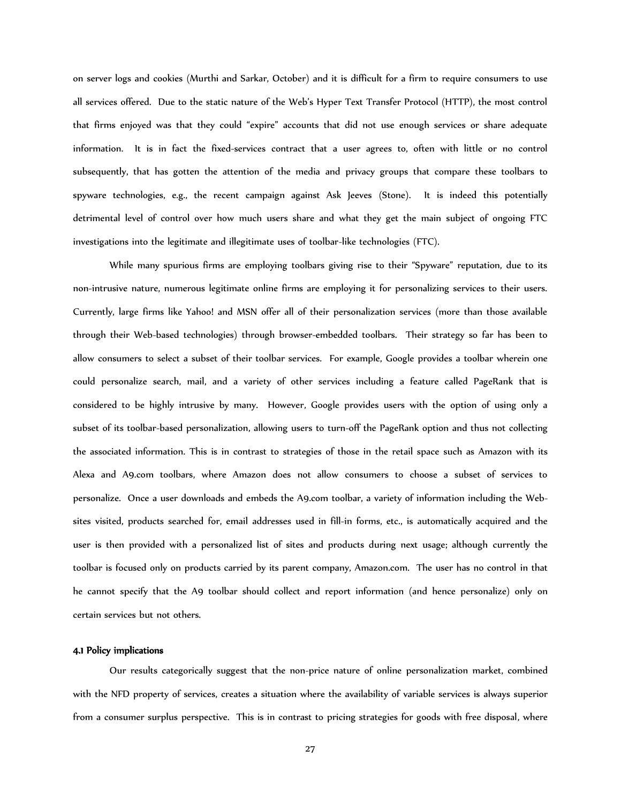on server logs and cookies (Murthi and Sarkar, October) and it is difficult for a firm to require consumers to use all services offered. Due to the static nature of the Web's Hyper Text Transfer Protocol (HTTP), the most control that firms enjoyed was that they could 'expire' accounts that did not use enough services or share adequate information. It is in fact the fixed-services contract that a user agrees to, often with little or no control subsequently, that has gotten the attention of the media and privacy groups that compare these toolbars to spyware technologies, e.g., the recent campaign against Ask Jeeves (Stone). It is indeed this potentially detrimental level of control over how much users share and what they get the main subject of ongoing FTC investigations into the legitimate and illegitimate uses of toolbar-like technologies (FTC).

While many spurious firms are employing toolbars giving rise to their 'Spyware' reputation, due to its non-intrusive nature, numerous legitimate online firms are employing it for personalizing services to their users. Currently, large firms like Yahoo! and MSN offer all of their personalization services (more than those available through their Web-based technologies) through browser-embedded toolbars. Their strategy so far has been to allow consumers to select a subset of their toolbar services. For example, Google provides a toolbar wherein one could personalize search, mail, and a variety of other services including a feature called PageRank that is considered to be highly intrusive by many. However, Google provides users with the option of using only a subset of its toolbar-based personalization, allowing users to turn-off the PageRank option and thus not collecting the associated information. This is in contrast to strategies of those in the retail space such as Amazon with its Alexa and A9.com toolbars, where Amazon does not allow consumers to choose a subset of services to personalize. Once a user downloads and embeds the A9.com toolbar, a variety of information including the Websites visited, products searched for, email addresses used in fill-in forms, etc., is automatically acquired and the user is then provided with a personalized list of sites and products during next usage; although currently the toolbar is focused only on products carried by its parent company, Amazon.com. The user has no control in that he cannot specify that the A9 toolbar should collect and report information (and hence personalize) only on certain services but not others.

#### 4.1 Policy implications

Our results categorically suggest that the non-price nature of online personalization market, combined with the NFD property of services, creates a situation where the availability of variable services is always superior from a consumer surplus perspective. This is in contrast to pricing strategies for goods with free disposal, where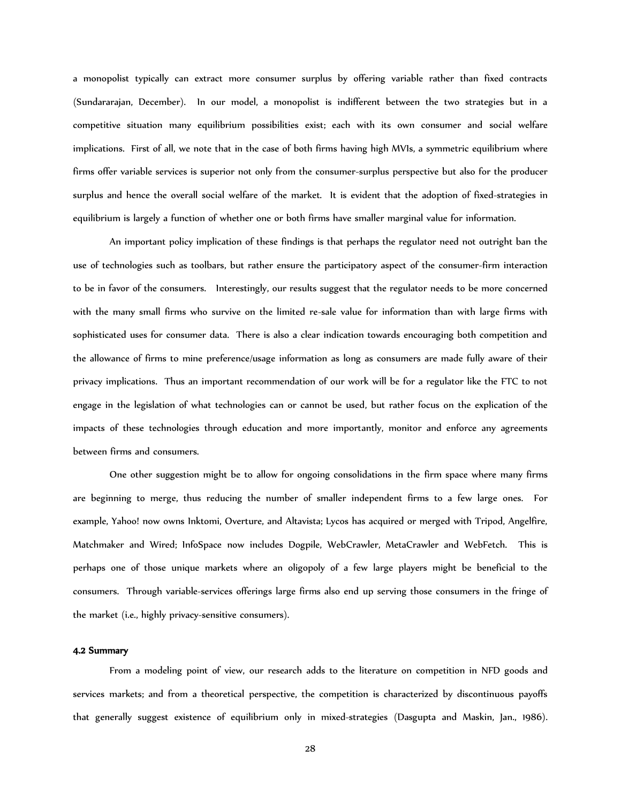a monopolist typically can extract more consumer surplus by offering variable rather than fixed contracts (Sundararajan, December). In our model, a monopolist is indifferent between the two strategies but in a competitive situation many equilibrium possibilities exist; each with its own consumer and social welfare implications. First of all, we note that in the case of both firms having high MVIs, a symmetric equilibrium where firms offer variable services is superior not only from the consumer-surplus perspective but also for the producer surplus and hence the overall social welfare of the market. It is evident that the adoption of fixed-strategies in equilibrium is largely a function of whether one or both firms have smaller marginal value for information.

An important policy implication of these findings is that perhaps the regulator need not outright ban the use of technologies such as toolbars, but rather ensure the participatory aspect of the consumer-firm interaction to be in favor of the consumers. Interestingly, our results suggest that the regulator needs to be more concerned with the many small firms who survive on the limited re-sale value for information than with large firms with sophisticated uses for consumer data. There is also a clear indication towards encouraging both competition and the allowance of firms to mine preference/usage information as long as consumers are made fully aware of their privacy implications. Thus an important recommendation of our work will be for a regulator like the FTC to not engage in the legislation of what technologies can or cannot be used, but rather focus on the explication of the impacts of these technologies through education and more importantly, monitor and enforce any agreements between firms and consumers.

One other suggestion might be to allow for ongoing consolidations in the firm space where many firms are beginning to merge, thus reducing the number of smaller independent firms to a few large ones. For example, Yahoo! now owns Inktomi, Overture, and Altavista; Lycos has acquired or merged with Tripod, Angelfire, Matchmaker and Wired; InfoSpace now includes Dogpile, WebCrawler, MetaCrawler and WebFetch. This is perhaps one of those unique markets where an oligopoly of a few large players might be beneficial to the consumers. Through variable-services offerings large firms also end up serving those consumers in the fringe of the market (i.e., highly privacy-sensitive consumers).

#### 4.2 Summary

From a modeling point of view, our research adds to the literature on competition in NFD goods and services markets; and from a theoretical perspective, the competition is characterized by discontinuous payoffs that generally suggest existence of equilibrium only in mixed-strategies (Dasgupta and Maskin, Jan., 1986).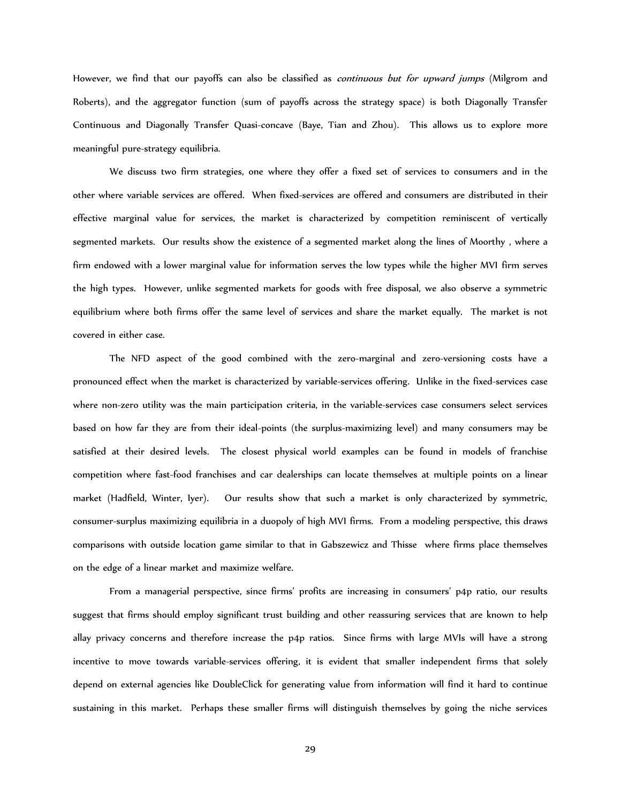However, we find that our payoffs can also be classified as *continuous but for upward jumps* (Milgrom and Roberts), and the aggregator function (sum of payoffs across the strategy space) is both Diagonally Transfer Continuous and Diagonally Transfer Quasi-concave (Baye, Tian and Zhou). This allows us to explore more meaningful pure-strategy equilibria.

We discuss two firm strategies, one where they offer a fixed set of services to consumers and in the other where variable services are offered. When fixed-services are offered and consumers are distributed in their effective marginal value for services, the market is characterized by competition reminiscent of vertically segmented markets. Our results show the existence of a segmented market along the lines of Moorthy , where a firm endowed with a lower marginal value for information serves the low types while the higher MVI firm serves the high types. However, unlike segmented markets for goods with free disposal, we also observe a symmetric equilibrium where both firms offer the same level of services and share the market equally. The market is not covered in either case.

The NFD aspect of the good combined with the zero-marginal and zero-versioning costs have a pronounced effect when the market is characterized by variable-services offering. Unlike in the fixed-services case where non-zero utility was the main participation criteria, in the variable-services case consumers select services based on how far they are from their ideal-points (the surplus-maximizing level) and many consumers may be satisfied at their desired levels. The closest physical world examples can be found in models of franchise competition where fast-food franchises and car dealerships can locate themselves at multiple points on a linear market (Hadfield, Winter, Iyer). Our results show that such a market is only characterized by symmetric, consumer-surplus maximizing equilibria in a duopoly of high MVI firms. From a modeling perspective, this draws comparisons with outside location game similar to that in Gabszewicz and Thisse where firms place themselves on the edge of a linear market and maximize welfare.

From a managerial perspective, since firms' profits are increasing in consumers' p4p ratio, our results suggest that firms should employ significant trust building and other reassuring services that are known to help allay privacy concerns and therefore increase the p4p ratios. Since firms with large MVIs will have a strong incentive to move towards variable-services offering, it is evident that smaller independent firms that solely depend on external agencies like DoubleClick for generating value from information will find it hard to continue sustaining in this market. Perhaps these smaller firms will distinguish themselves by going the niche services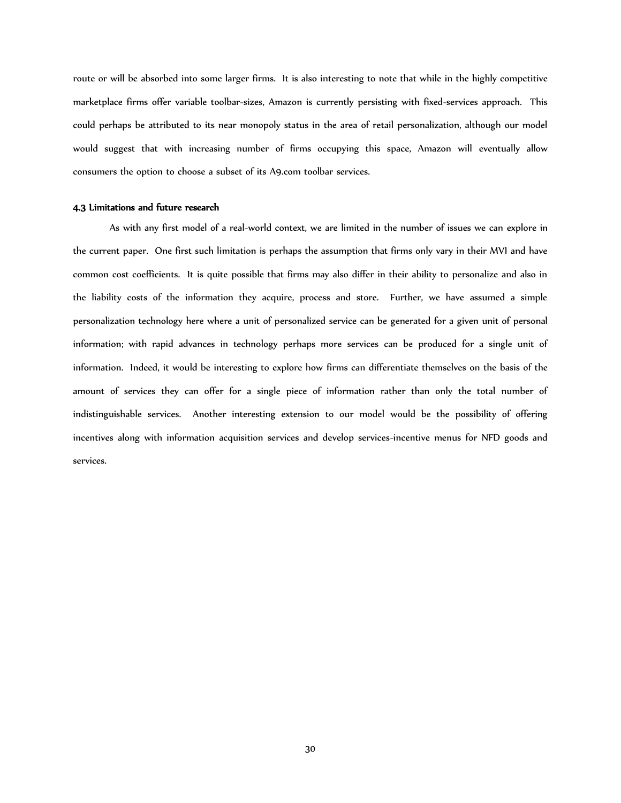route or will be absorbed into some larger firms. It is also interesting to note that while in the highly competitive marketplace firms offer variable toolbar-sizes, Amazon is currently persisting with fixed-services approach. This could perhaps be attributed to its near monopoly status in the area of retail personalization, although our model would suggest that with increasing number of firms occupying this space, Amazon will eventually allow consumers the option to choose a subset of its A9.com toolbar services.

## 4.3 Limitations and future research

As with any first model of a real-world context, we are limited in the number of issues we can explore in the current paper. One first such limitation is perhaps the assumption that firms only vary in their MVI and have common cost coefficients. It is quite possible that firms may also differ in their ability to personalize and also in the liability costs of the information they acquire, process and store. Further, we have assumed a simple personalization technology here where a unit of personalized service can be generated for a given unit of personal information; with rapid advances in technology perhaps more services can be produced for a single unit of information. Indeed, it would be interesting to explore how firms can differentiate themselves on the basis of the amount of services they can offer for a single piece of information rather than only the total number of indistinguishable services. Another interesting extension to our model would be the possibility of offering incentives along with information acquisition services and develop services-incentive menus for NFD goods and services.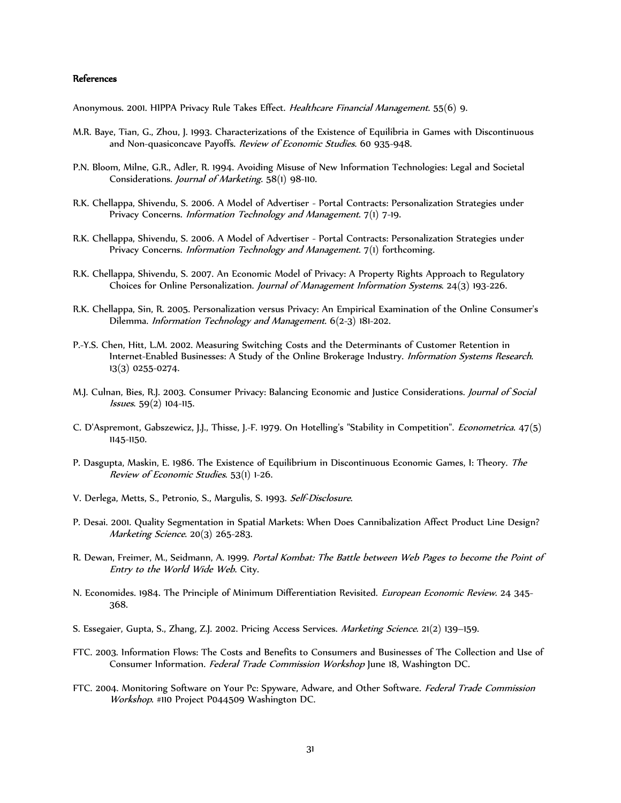## References

Anonymous. 2001. HIPPA Privacy Rule Takes Effect. Healthcare Financial Management. 55(6) 9.

- M.R. Baye, Tian, G., Zhou, J. 1993. Characterizations of the Existence of Equilibria in Games with Discontinuous and Non-quasiconcave Payoffs. Review of Economic Studies. 60 935-948.
- P.N. Bloom, Milne, G.R., Adler, R. 1994. Avoiding Misuse of New Information Technologies: Legal and Societal Considerations. Journal of Marketing. 58(1) 98-110.
- R.K. Chellappa, Shivendu, S. 2006. A Model of Advertiser Portal Contracts: Personalization Strategies under Privacy Concerns. *Information Technology and Management*. 7(1) 7-19.
- R.K. Chellappa, Shivendu, S. 2006. A Model of Advertiser Portal Contracts: Personalization Strategies under Privacy Concerns. *Information Technology and Management*. 7(1) forthcoming.
- R.K. Chellappa, Shivendu, S. 2007. An Economic Model of Privacy: A Property Rights Approach to Regulatory Choices for Online Personalization. *Journal of Management Information Systems*. 24(3) 193-226.
- R.K. Chellappa, Sin, R. 2005. Personalization versus Privacy: An Empirical Examination of the Online Consumer's Dilemma. *Information Technology and Management*. 6(2-3) 181-202.
- P.-Y.S. Chen, Hitt, L.M. 2002. Measuring Switching Costs and the Determinants of Customer Retention in Internet-Enabled Businesses: A Study of the Online Brokerage Industry. Information Systems Research. 13(3) 0255-0274.
- M.J. Culnan, Bies, R.J. 2003. Consumer Privacy: Balancing Economic and Justice Considerations. Journal of Social  $$
- C. D'Aspremont, Gabszewicz, J.J., Thisse, J.-F. 1979. On Hotelling's "Stability in Competition". Econometrica. 47(5) 1145-1150.
- P. Dasgupta, Maskin, E. 1986. The Existence of Equilibrium in Discontinuous Economic Games, I: Theory. The Review of Economic Studies. 53(1) 1-26.
- V. Derlega, Metts, S., Petronio, S., Margulis, S. 1993. Self-Disclosure.
- P. Desai. 2001. Quality Segmentation in Spatial Markets: When Does Cannibalization Affect Product Line Design? Marketing Science. 20(3) 265-283.
- R. Dewan, Freimer, M., Seidmann, A. 1999. Portal Kombat: The Battle between Web Pages to become the Point of Entry to the World Wide Web. City.
- N. Economides. 1984. The Principle of Minimum Differentiation Revisited. European Economic Review. 24 345-368.
- S. Essegaier, Gupta, S., Zhang, Z.J. 2002. Pricing Access Services. Marketing Science. 21(2) 139–159.
- FTC. 2003. Information Flows: The Costs and Benefits to Consumers and Businesses of The Collection and Use of Consumer Information. Federal Trade Commission Workshop June 18, Washington DC.
- FTC. 2004. Monitoring Software on Your Pc: Spyware, Adware, and Other Software. Federal Trade Commission Workshop. #110 Project P044509 Washington DC.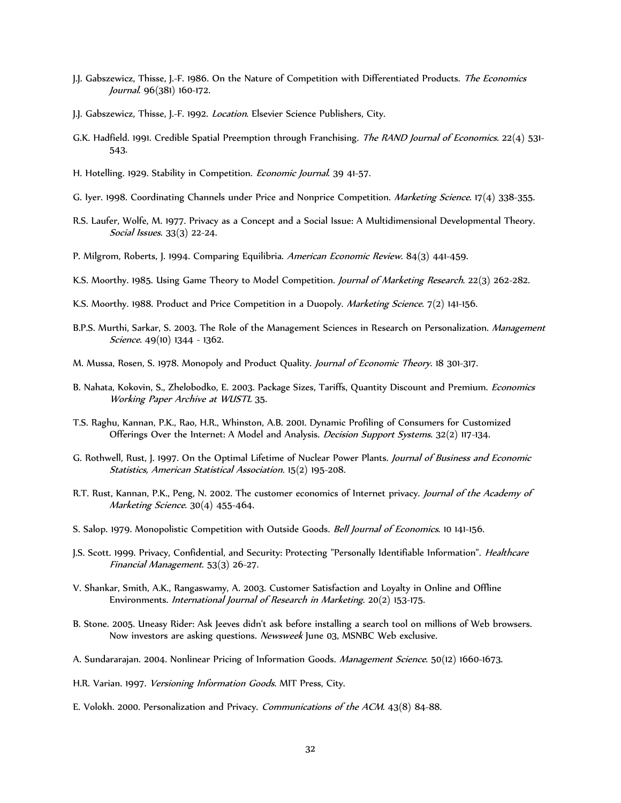- J.J. Gabszewicz, Thisse, J.-F. 1986. On the Nature of Competition with Differentiated Products. The Economics Journal. 96(381) 160-172.
- J.J. Gabszewicz, Thisse, J.-F. 1992. Location. Elsevier Science Publishers, City.
- G.K. Hadfield. 1991. Credible Spatial Preemption through Franchising. The RAND Journal of Economics. 22(4) 531-543.
- H. Hotelling. 1929. Stability in Competition. Economic Journal. 39 41-57.
- G. Iyer. 1998. Coordinating Channels under Price and Nonprice Competition. Marketing Science. 17(4) 338-355.
- R.S. Laufer, Wolfe, M. 1977. Privacy as a Concept and a Social Issue: A Multidimensional Developmental Theory. Social Issues. 33(3) 22-24.
- P. Milgrom, Roberts, J. 1994. Comparing Equilibria. American Economic Review. 84(3) 441-459.
- K.S. Moorthy. 1985. Using Game Theory to Model Competition. Journal of Marketing Research. 22(3) 262-282.
- K.S. Moorthy. 1988. Product and Price Competition in a Duopoly. Marketing Science. 7(2) 141-156.
- B.P.S. Murthi, Sarkar, S. 2003. The Role of the Management Sciences in Research on Personalization. *Management* Science. 49(10) 1344 - 1362.
- M. Mussa, Rosen, S. 1978. Monopoly and Product Quality. Journal of Economic Theory. 18 301-317.
- B. Nahata, Kokovin, S., Zhelobodko, E. 2003. Package Sizes, Tariffs, Quantity Discount and Premium. Economics Working Paper Archive at WUSTL 35.
- T.S. Raghu, Kannan, P.K., Rao, H.R., Whinston, A.B. 2001. Dynamic Profiling of Consumers for Customized Offerings Over the Internet: A Model and Analysis. Decision Support Systems. 32(2) 117-134.
- G. Rothwell, Rust, J. 1997. On the Optimal Lifetime of Nuclear Power Plants. Journal of Business and Economic Statistics, American Statistical Association. 15(2) 195-208.
- R.T. Rust, Kannan, P.K., Peng, N. 2002. The customer economics of Internet privacy. Journal of the Academy of Marketing Science.  $30(4)$  455-464.
- S. Salop. 1979. Monopolistic Competition with Outside Goods. Bell Journal of Economics. 10 141-156.
- J.S. Scott. 1999. Privacy, Confidential, and Security: Protecting "Personally Identifiable Information". *Healthcare* Financial Management. 53(3) 26-27.
- V. Shankar, Smith, A.K., Rangaswamy, A. 2003. Customer Satisfaction and Loyalty in Online and Offline Environments. International Journal of Research in Marketing. 20(2) 153-175.
- B. Stone. 2005. Uneasy Rider: Ask Jeeves didn't ask before installing a search tool on millions of Web browsers. Now investors are asking questions. Newsweek June 03, MSNBC Web exclusive.
- A. Sundararajan. 2004. Nonlinear Pricing of Information Goods. Management Science. 50(12) 1660-1673.
- H.R. Varian. 1997. Versioning Information Goods. MIT Press, City.
- E. Volokh. 2000. Personalization and Privacy. Communications of the ACM. 43(8) 84-88.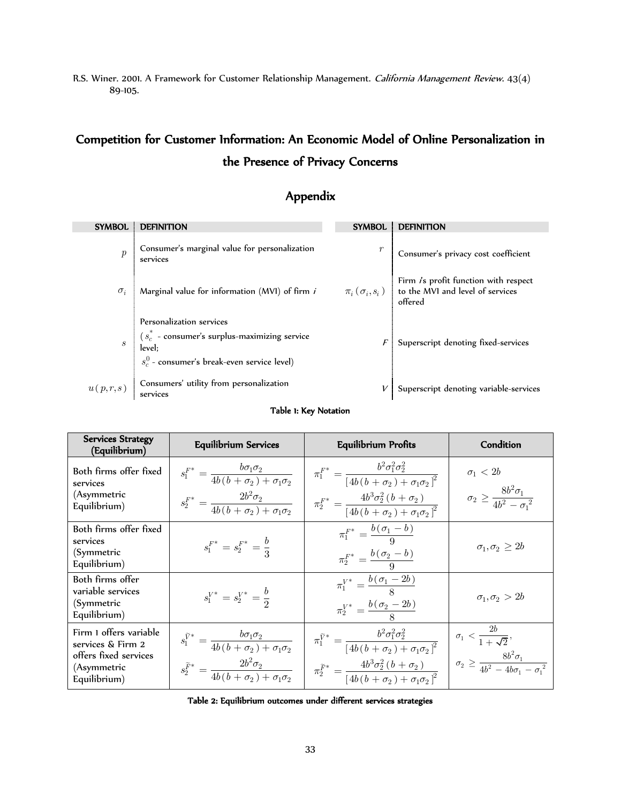R.S. Winer. 2001. A Framework for Customer Relationship Management. California Management Review. 43(4) 89-105.

# Competition for Customer Information: An Economic Model of Online Personalization in the Presence of Privacy Concerns

# Appendix

| <b>SYMBOL</b>    | <b>DEFINITION</b>                                                                                                                              | <b>SYMBOL</b> | <b>DEFINITION</b>                                                                                          |
|------------------|------------------------------------------------------------------------------------------------------------------------------------------------|---------------|------------------------------------------------------------------------------------------------------------|
| $\boldsymbol{p}$ | Consumer's marginal value for personalization<br>services                                                                                      | $\,r$         | Consumer's privacy cost coefficient                                                                        |
| $\sigma_i$       | Marginal value for information (MVI) of firm <i>i</i>                                                                                          |               | Firm is profit function with respect<br>$\pi_i(\sigma_i, s_i)$ to the MVI and level of services<br>offered |
| $\boldsymbol{s}$ | Personalization services<br>$(\vec{s_c}^*$ - consumer's surplus-maximizing service<br>level:<br>$s_c^0$ - consumer's break-even service level) |               | Superscript denoting fixed-services                                                                        |
| u(p,r,s)         | Consumers' utility from personalization<br>services                                                                                            |               | Superscript denoting variable-services                                                                     |

Table 1: Key Notation

| <b>Services Strategy</b><br>(Equilibrium)                                                           | <b>Equilibrium Services</b>                                        | <b>Equilibrium Profits</b>                                                                                                                                                                                                                                                                                                                                                                                  | Condition                                                                                                    |
|-----------------------------------------------------------------------------------------------------|--------------------------------------------------------------------|-------------------------------------------------------------------------------------------------------------------------------------------------------------------------------------------------------------------------------------------------------------------------------------------------------------------------------------------------------------------------------------------------------------|--------------------------------------------------------------------------------------------------------------|
| Both firms offer fixed<br>services<br>(Asymmetric<br>Equilibrium)                                   | $s_2^{F^*} = \frac{2b^2\sigma_2}{4b(b+\sigma_2)+\sigma_1\sigma_2}$ | $s_1^{F^*} = \frac{b\sigma_1\sigma_2}{4b(b+\sigma_2)+\sigma_1\sigma_2}$ $\begin{array}{ c c } \pi_1^{F^*} = \frac{b^2\sigma_1^2\sigma_2^2}{\left[4b(b+\sigma_2)+\sigma_1\sigma_2\right]^2} \end{array}$<br>$\pi_2^{F^*} = \frac{4b^3\sigma_2^2 (b + \sigma_2)}{[4b(b + \sigma_2) + \sigma_1\sigma_2]^2}$                                                                                                    | $\sigma_1 < 2b$<br>$\sigma_2 \geq \frac{8b^2 \sigma_1}{4b^2 - {\sigma_1}^2}$                                 |
| Both firms offer fixed<br>services<br>(Symmetric<br>Equilibrium)                                    | $s_1^{F^*}=s_2^{F^*}=\frac{b}{3}$                                  | $\pi_1^{F^*} = \frac{b(\sigma_1 - b)}{\alpha}$<br>$\pi_2^{F^*} = \frac{b(\sigma_2 - b)}{a}$                                                                                                                                                                                                                                                                                                                 | $\sigma_1, \sigma_2 > 2b$                                                                                    |
| Both firms offer<br>variable services<br>(Symmetric<br>Equilibrium)                                 | $s_1^{V^*}=s_2^{V^*}=\frac{b}{2}$                                  | $\pi_1^{V^*} = \frac{b(\sigma_1 - 2b)}{8}$<br>$\pi_2^{V^*} = \frac{b(\sigma_2 - 2b)}{c}$                                                                                                                                                                                                                                                                                                                    | $\sigma_1, \sigma_2 > 2b$                                                                                    |
| Firm 1 offers variable<br>services & Firm 2<br>offers fixed services<br>(Asymmetric<br>Equilibrium) |                                                                    | $s_1^{\tilde{V}^*} = \frac{b\sigma_1\sigma_2}{4b(b+\sigma_2)+\sigma_1\sigma_2} \quad \boxed{\sigma_1^{\tilde{V}^*} = \frac{b^2\sigma_1^2\sigma_2^2}{[4b(b+\sigma_2)+\sigma_1\sigma_2]^2}}$<br>$s_2^{\tilde{F}^*} = \frac{2b^2\sigma_2}{4b(b+\sigma_2)+\sigma_1\sigma_2} \quad \left  \quad \pi_2^{\tilde{F}^*} = \frac{4b^3\sigma_2^2(b+\sigma_2)}{\left[4b(b+\sigma_2)+\sigma_1\sigma_2\right]^2} \right.$ | $\sigma_1 < \frac{2b}{1+\sqrt{2}},$<br>$\sigma_2 \geq \frac{8b^2 \sigma_1}{4b^2 - 4b \sigma_1 - \sigma_1^2}$ |

| Table 2: Equilibrium outcomes under different services strategies |  |  |  |  |  |  |  |
|-------------------------------------------------------------------|--|--|--|--|--|--|--|
|-------------------------------------------------------------------|--|--|--|--|--|--|--|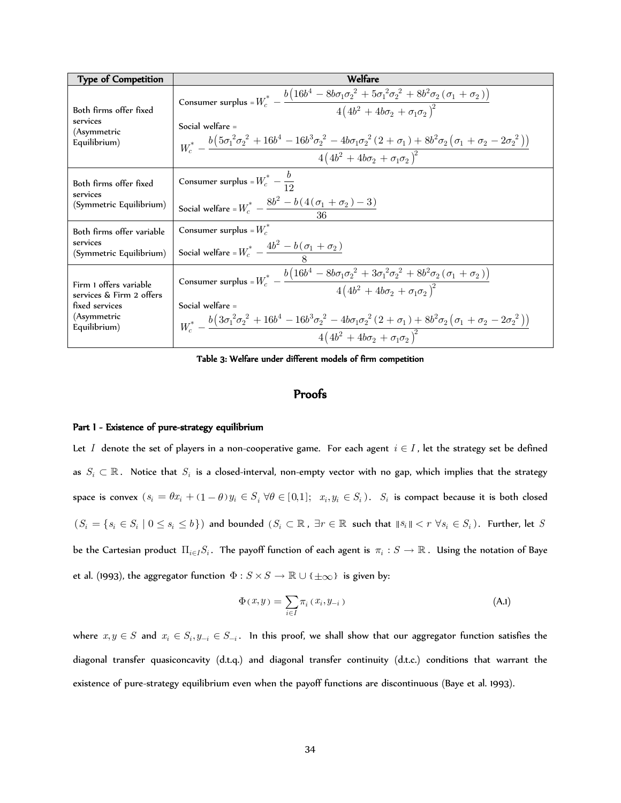| Type of Competition                                | Welfare                                                                                                                                                                                                                                                                  |
|----------------------------------------------------|--------------------------------------------------------------------------------------------------------------------------------------------------------------------------------------------------------------------------------------------------------------------------|
| Both firms offer fixed                             | Consumer surplus = $W_c^*$ - $\frac{b(16b^4 - 8b\sigma_1\sigma_2^2 + 5\sigma_1^2\sigma_2^2 + 8b^2\sigma_2(\sigma_1 + \sigma_2))}{4(4b^2 + 4b\sigma_2 + \sigma_1\sigma_2)^2}$                                                                                             |
| services<br>(Asymmetric                            | Social welfare $=$                                                                                                                                                                                                                                                       |
| Equilibrium)                                       | $W_c^* - \frac{b \left(5 \sigma_1^2 \sigma_2^2 + 16 b^4 - 16 b^3 \sigma_2^2 - 4 b \sigma_1 \sigma_2^2 (2 + \sigma_1) + 8 b^2 \sigma_2 \left(\sigma_1 + \sigma_2 - 2 \sigma_2^2\right)\right)}{4 \left(4 b^2 + 4 b \sigma_2 + \sigma_1 \sigma_2\right)^2}$                |
|                                                    |                                                                                                                                                                                                                                                                          |
| Both firms offer fixed<br>services                 | Consumer surplus = $W_c^* - \frac{0}{12}$                                                                                                                                                                                                                                |
| (Symmetric Equilibrium)                            | $\text{Social welfare} = W_c^* - \frac{8b^2 - b\left(4\left(\sigma_1 + \sigma_2\right) - 3\right)}{36}$                                                                                                                                                                  |
| Both firms offer variable                          | Consumer surplus = $W_c^*$                                                                                                                                                                                                                                               |
| services<br>(Symmetric Equilibrium)                | Social welfare = $W_c^*$ – $\frac{4b^2-b(\sigma_1+\sigma_2)}{8}$                                                                                                                                                                                                         |
| Firm 1 offers variable<br>services & Firm 2 offers | Consumer surplus = $W_c^*$ - $\frac{b \left(16b^4 - 8b\sigma_1 \sigma_2^2 + 3\sigma_1^2 \sigma_2^2 + 8b^2 \sigma_2 (\sigma_1 + \sigma_2)\right)}{4 \left(4b^2 + 4b\sigma_2 + \sigma_1 \sigma_2\right)^2}$                                                                |
| fixed services                                     | Social welfare =                                                                                                                                                                                                                                                         |
| (Asymmetric<br>Equilibrium)                        | $W_c^* - \frac{b \left(3 \sigma_1^2 \sigma_2^2 + 16 b^4 - 16 b^3 \sigma_2^2 - 4 b \sigma_1 \sigma_2^2 \left(2 + \sigma_1 \right) + 8 b^2 \sigma_2 \left(\sigma_1 + \sigma_2 - 2 \sigma_2^2 \right) \right)}{4 \left(4 b^2 + 4 b \sigma_2 + \sigma_1 \sigma_2 \right)^2}$ |
|                                                    |                                                                                                                                                                                                                                                                          |

Table 3: Welfare under different models of firm competition

# Proofs

#### Part I - Existence of pure-strategy equilibrium

Let  $I$  denote the set of players in a non-cooperative game. For each agent  $i \in I$ , let the strategy set be defined as  $S_i\subset\mathbb{R}$ . Notice that  $S_i$  is a closed-interval, non-empty vector with no gap, which implies that the strategy space is convex  $(s_i = \theta x_i + (1 - \theta)y_i \in S_i \,\forall \theta \in [0,1]; \, x_i, y_i \in S_i)$ .  $S_i$  is compact because it is both closed  $(S_i = \{s_i \in S_i \mid 0 \leq s_i \leq b\})$  and bounded  $(S_i \subset \mathbb{R}, \exists r \in \mathbb{R} \text{ such that } \lVert s_i \rVert < r \; \forall s_i \in S_i$ ). Further, let  $S$ be the Cartesian product  $\Pi_{i\in I}S_i$ . The payoff function of each agent is  $\pi_i:S\to\mathbb{R}$ . Using the notation of Baye et al. (1993), the aggregator function  $\Phi : S \times S \rightarrow \mathbb{R} \cup \{\pm \infty\}$  is given by:

$$
\Phi(x, y) = \sum_{i \in I} \pi_i (x_i, y_{-i})
$$
\n(A.1)

where  $x, y \in S$  and  $x_i \in S_i, y_{-i} \in S_{-i}$ . In this proof, we shall show that our aggregator function satisfies the diagonal transfer quasiconcavity (d.t.q.) and diagonal transfer continuity (d.t.c.) conditions that warrant the existence of pure-strategy equilibrium even when the payoff functions are discontinuous (Baye et al. 1993).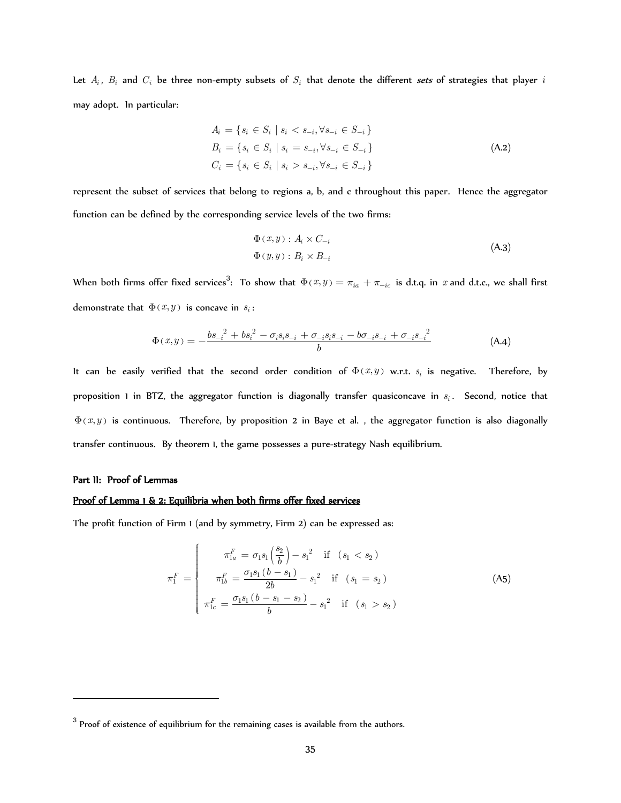Let  $A_i$ ,  $B_i$  and  $C_i$  be three non-empty subsets of  $S_i$  that denote the different *sets* of strategies that player  $i$ may adopt. In particular:

$$
A_i = \{ s_i \in S_i \mid s_i < s_{-i}, \forall s_{-i} \in S_{-i} \}
$$
\n
$$
B_i = \{ s_i \in S_i \mid s_i = s_{-i}, \forall s_{-i} \in S_{-i} \}
$$
\n
$$
C_i = \{ s_i \in S_i \mid s_i > s_{-i}, \forall s_{-i} \in S_{-i} \}
$$
\n(A.2)

represent the subset of services that belong to regions a, b, and c throughout this paper. Hence the aggregator function can be defined by the corresponding service levels of the two firms:

$$
\Phi(x, y) : A_i \times C_{-i}
$$
\n
$$
\Phi(y, y) : B_i \times B_{-i}
$$
\n(A.3)

When both firms offer fixed services<sup>3</sup>: To show that  $\Phi(x,y)=\pi_{ia}+\pi_{-ic}$  is d.t.q. in  $x$  and d.t.c., we shall first demonstrate that  $\Phi(x, y)$  is concave in  $s_i$ :

$$
\Phi(x, y) \text{ is concave in } s_i:
$$
\n
$$
\Phi(x, y) = -\frac{bs_{-i}^2 + bs_i^2 - \sigma_i s_i s_{-i} + \sigma_{-i} s_i s_{-i} - b \sigma_{-i} s_{-i} + \sigma_{-i} s_{-i}^2}{b}
$$
\n(A.4)

It can be easily verified that the second order condition of  $\Phi(x,y)$  w.r.t.  $s_i$  is negative. Therefore, by proposition 1 in BTZ, the aggregator function is diagonally transfer quasiconcave in  $s_i$ . Second, notice that  $\Phi(x, y)$  is continuous. Therefore, by proposition 2 in Baye et al., the aggregator function is also diagonally transfer continuous. By theorem 1, the game possesses a pure-strategy Nash equilibrium.

## Part II: Proof of Lemmas

I

## Proof of Lemma 1 & 2: Equilibria when both firms offer fixed services

The profit function of Firm 1 (and by symmetry, Firm 2) can be expressed as:

$$
\pi_1^F = \begin{cases}\n\pi_{1a}^F = \sigma_1 s_1 \left(\frac{s_2}{b}\right) - s_1^2 & \text{if } (s_1 < s_2) \\
\pi_{1b}^F = \frac{\sigma_1 s_1 \left(b - s_1\right)}{2b} - s_1^2 & \text{if } (s_1 = s_2) \\
\pi_{1c}^F = \frac{\sigma_1 s_1 \left(b - s_1 - s_2\right)}{b} - s_1^2 & \text{if } (s_1 > s_2)\n\end{cases}
$$
\n(A5)

 $^3$  Proof of existence of equilibrium for the remaining cases is available from the authors.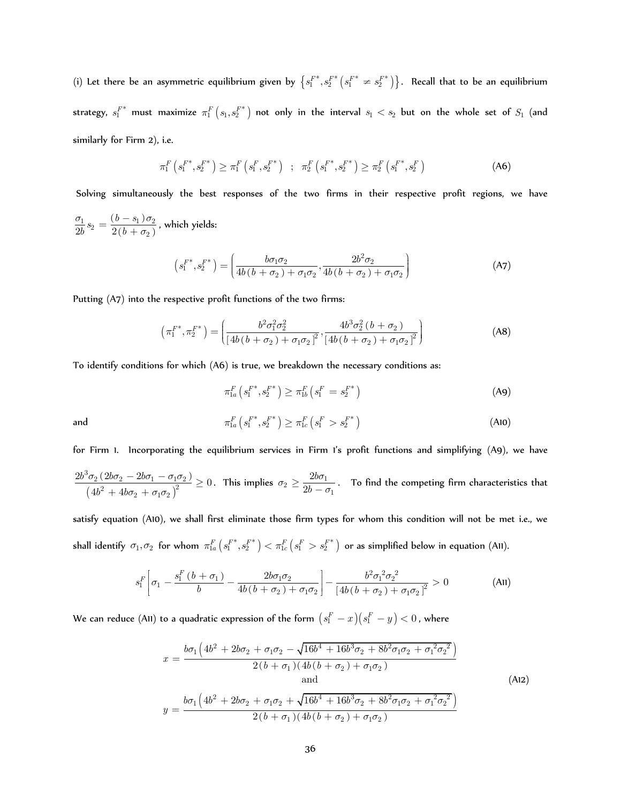(i) Let there be an asymmetric equilibrium given by  $\left\{ s_1^{F*},s_2^{F*}\left(s_1^{F*} \neq s_2^{F*}\right)\right\}$ . Recall that to be an equilibrium strategy,  $s_1^{F^*}$  must maximize  $\pi_1^F\big(s_1,s_2^{F^*}\big)$  not only in the interval  $s_1 < s_2$  but on the whole set of  $S_1$  (and similarly for Firm 2), i.e.

, i.e.  
\n
$$
\pi_1^F \left( s_1^{F^*}, s_2^{F^*} \right) \ge \pi_1^F \left( s_1^F, s_2^{F^*} \right) \ ; \ \pi_2^F \left( s_1^{F^*}, s_2^{F^*} \right) \ge \pi_2^F \left( s_1^{F^*}, s_2^{F} \right) \tag{A6}
$$

Solving simultaneously the best responses of the two firms in their respective profit regions, we have  $(b - s_1)$  $(b+\sigma_2)$  $\frac{\sigma_1}{2b} s_2 = \frac{(b-s_1)\sigma_2}{2(b+\sigma_2)}$  $\frac{b_1}{b_2} s_2 = \frac{(b-s)}{2(b+s)}$  $\sigma_1$   $(b-s_1)\sigma_2$  $\sigma$  $=\displaystyle{\frac{\left(b-s_{1}\right)\sigma_{2}}{2\left(b+\sigma_{2}\right)}}$ , which yields:

$$
\left(s_1^{F^*}, s_2^{F^*}\right) = \left(\frac{b\sigma_1\sigma_2}{4b(b+\sigma_2)+\sigma_1\sigma_2}, \frac{2b^2\sigma_2}{4b(b+\sigma_2)+\sigma_1\sigma_2}\right) \tag{A7}
$$

Putting (A7) into the respective profit functions of the two firms:  
\n
$$
\left(\pi_1^{F^*}, \pi_2^{F^*}\right) = \left(\frac{b^2 \sigma_1^2 \sigma_2^2}{\left[4b\left(b + \sigma_2\right) + \sigma_1 \sigma_2\right]^2}, \frac{4b^3 \sigma_2^2 \left(b + \sigma_2\right)}{\left[4b\left(b + \sigma_2\right) + \sigma_1 \sigma_2\right]^2}\right)
$$
\n(A8)

To identify conditions for which (A6) is true, we breakdown the necessary conditions as:

 $\pi_{1a}^{F}\left(s_{1}^{F*}, s_{2}^{F*}\right) \geq \pi_{1b}^{F}\left(s_{1}^{F}=s_{2}^{F*}\right)$ (A9)

and

$$
\pi_{1a}^{F}\left(s_{1}^{F^{*}}, s_{2}^{F^{*}}\right) \geq \pi_{1c}^{F}\left(s_{1}^{F} > s_{2}^{F^{*}}\right)
$$
\n(A10)

for Firm 1. Incorporating the equilibrium services in Firm 1's profit functions and simplifying (A9), we have  $(2b\sigma_2 - 2b\sigma_1 - \sigma_1\sigma_2)$  $(4b^2+4b\sigma_2+\sigma_1\sigma_2)^2$  $^{3}\sigma_{2} (2b\sigma_{2} - 2b\sigma_{1} - \sigma_{1}\sigma_{2})$  $^{2}+4b\sigma_{2}+\sigma_{1}\sigma_{2})^{2}$  $\frac{2b^3\sigma_2(2b\sigma_2 - 2b\sigma_1 - \sigma_1\sigma_2)}{2} \geq 0$  $\frac{4b^2+4}{b^2+4}$  $bb^3\sigma_2(2b\sigma_2-2b)$  $\frac{b^2 + 4b}{b^2 + 4b}$  $\sigma_2 (2b\sigma_2 - 2b\sigma_1 - \sigma_1\sigma_2)$ .  $\frac{25c_1}{\sigma_2 + \sigma_1 \sigma_2}$  $\frac{-2b\sigma_1-\sigma_1\sigma_2)}{2}$  $\frac{10\sigma_2 - 20\sigma_1 - \sigma_1\sigma_2}{1 + 4b\sigma_2 + \sigma_1\sigma_2} \ge 0$ . This implies  $\sigma_2 \ge \frac{20\sigma_1}{2b - \sigma_1}$ 2 2 *b b*  $\sigma_2 \geq \frac{2b\sigma_1}{2b-\sigma_1}$ . To find the competing firm characteristics that

satisfy equation (A10), we shall first eliminate those firm types for whom this condition will not be met i.e., we shall identify  $\sigma_1,\sigma_2$  for whom  $\pi_{1a}^F\left(s_1^{F*},s_2^{F*}\right)<\pi_{1c}^F\left(s_1^F>s_2^{F*}\right)$  or as simplified below in equation (A11).

$$
\tau_{1}, \sigma_{2} \text{ for whom } \pi_{1a}^{F} \left( s_{1}^{F*}, s_{2}^{F*} \right) < \pi_{1c}^{F} \left( s_{1}^{F} > s_{2}^{F*} \right) \text{ or as simplified below in equation (All).}
$$
\n
$$
s_{1}^{F} \left[ \sigma_{1} - \frac{s_{1}^{F} \left( b + \sigma_{1} \right)}{b} - \frac{2b\sigma_{1}\sigma_{2}}{4b\left( b + \sigma_{2} \right) + \sigma_{1}\sigma_{2}} \right] - \frac{b^{2}\sigma_{1}^{2}\sigma_{2}^{2}}{\left[ 4b\left( b + \sigma_{2} \right) + \sigma_{1}\sigma_{2} \right]^{2}} > 0 \tag{All}
$$

We can reduce (A11) to a quadratic expression of the form  $\big(s^F_1-x\big)\big(s^F_1-y\big)< 0$  , where

to a quadratic expression of the form 
$$
(s_1 - x)(s_1 - y) < 0
$$
, where  
\n
$$
x = \frac{b\sigma_1 \left(4b^2 + 2b\sigma_2 + \sigma_1\sigma_2 - \sqrt{16b^4 + 16b^3\sigma_2 + 8b^2\sigma_1\sigma_2 + \sigma_1^2\sigma_2^2}\right)}{2(b + \sigma_1)(4b(b + \sigma_2) + \sigma_1\sigma_2)}
$$
\nand\n(A12)  
\n
$$
y = \frac{b\sigma_1 \left(4b^2 + 2b\sigma_2 + \sigma_1\sigma_2 + \sqrt{16b^4 + 16b^3\sigma_2 + 8b^2\sigma_1\sigma_2 + \sigma_1^2\sigma_2^2}\right)}{2(b + \sigma_1)(4b(b + \sigma_2) + \sigma_1\sigma_2)}
$$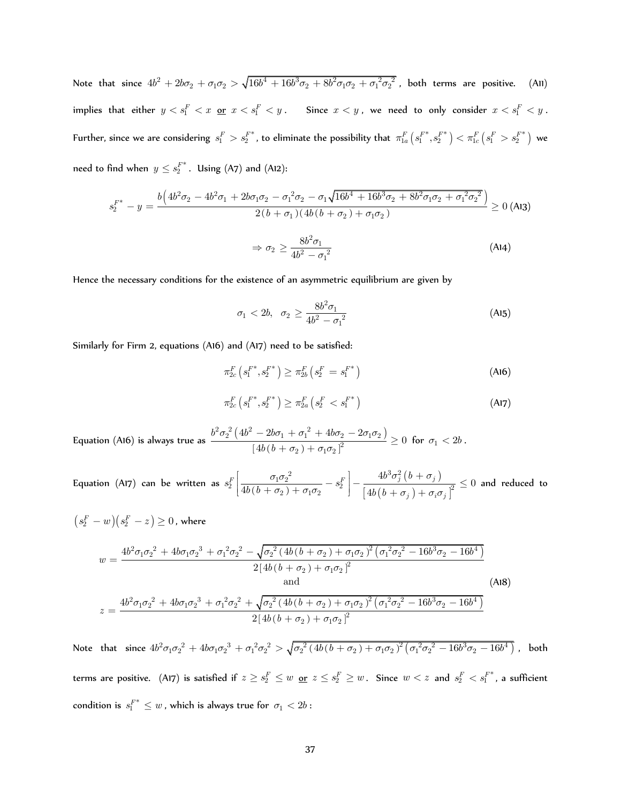Note that since  $4b^2+2b\sigma_2+\sigma_1\sigma_2>\sqrt{16b^4+16b^3\sigma_2+8b^2\sigma_1\sigma_2+\sigma_1^2{\sigma_2}^2}$ , both terms are positive. (A11) implies that either  $y < s_1^F < x$  <u>or</u>  $x < s_1^F < y$ . Since  $x < y$ , we need to only consider  $x < s_1^F < y$ . Further, since we are considering  $s_1^F>s_2^{F*}$ , to eliminate the possibility that  $\pi^F_{1a}\big(s_1^{F*},s_2^{F*}\big)<\pi^F_{1c}\big(s_1^F>s_2^{F*}\big)$  we

need to find when 
$$
y \le s_2^{F^*}
$$
. Using (A7) and (A12):  
\n
$$
s_2^{F^*} - y = \frac{b\left(4b^2\sigma_2 - 4b^2\sigma_1 + 2b\sigma_1\sigma_2 - \sigma_1^2\sigma_2 - \sigma_1\sqrt{16b^4 + 16b^3\sigma_2 + 8b^2\sigma_1\sigma_2 + \sigma_1^2\sigma_2^2}\right)}{2(b + \sigma_1)(4b(b + \sigma_2) + \sigma_1\sigma_2)} \ge 0
$$
\n(A13)

$$
\Rightarrow \sigma_2 \ge \frac{8b^2 \sigma_1}{4b^2 - \sigma_1^2} \tag{A14}
$$

Hence the necessary conditions for the existence of an asymmetric equilibrium are given by

$$
\sigma_1 < 2b, \quad \sigma_2 \ge \frac{8b^2 \sigma_1}{4b^2 - \sigma_1^2} \tag{A15}
$$

Similarly for Firm 2, equations (A16) and (A17) need to be satisfied:

$$
\pi_{2c}^F\left(s_1^{F*}, s_2^{F*}\right) \ge \pi_{2b}^F\left(s_2^F = s_1^{F*}\right) \tag{A16}
$$

$$
\pi_{2c}^F\left(s_1^{F*}, s_2^{F*}\right) \ge \pi_{2a}^F\left(s_2^F < s_1^{F*}\right) \tag{A17}
$$

Equation (A16) is always true as  $\frac{b^2 \sigma_2^2 (4b^2 - 2b\sigma_1 + {\sigma_1}^2 + 4b\sigma_2 - 2\sigma_1\sigma_2)}{b^2 \sigma_2^2 (4b^2 - 2b\sigma_1 + \sigma_1^2 + 4b\sigma_2 - 2\sigma_1\sigma_2)}$  $[4b(b+\sigma_2)+\sigma_1\sigma_2]$  $\frac{2 \sigma_2^2 (4b^2 - 2b\sigma_1 + \sigma_1^2 + 4b\sigma_2 - 2\sigma_1\sigma_2)}{[4b(b + \sigma_2) + \sigma_1\sigma_2]^2}$  $\frac{4b^2 - 2b\sigma_1 + \sigma_1^2 + 4b\sigma_2 - 2\sigma_1\sigma_2)}{[4b(b + \sigma_2) + \sigma_1\sigma_2]^2} \ge 0$  $b^2 \sigma_2^2 (4b^2 - 2b\sigma_1 + \sigma_1^2 + 4b)$  $\frac{-2b}{b(b)}$  $\sigma_2^2 (4b^2 - 2b\sigma_1 + {\sigma_1}^2 + 4b\sigma_2 - 2\sigma_1\sigma_2)$  $+\sigma_1^2 + 4b\sigma_2 -$ <br>  $\sigma_2 + \sigma_1\sigma_2^2$  $\frac{-2b\sigma_1+\sigma_1^2+4b\sigma_2-2\sigma_1\sigma_2)}{4b\left(b+\sigma_2\right)+\sigma_1\sigma_2}$ <sup>2</sup>  $\geq 0$  for  $\sigma_1 < 2b$ .

Equation (A17) can be written as  $s_2^F\left| \frac{a_1a_2}{4b(b+\sigma_2)}\right|$  $(b+\sigma_i)$  $[4b(b+\sigma_i)+\sigma_i\sigma_i]$  $\frac{1}{2} \left[ \frac{\sigma_1 \sigma_2^2}{4b(b+\sigma_2)+\sigma_1 \sigma_2} - s_2^F \right] - \frac{4b^3 \sigma_j^2 (b+\sigma_j)}{\left[ 4b(b+\sigma_j)+\sigma_i \sigma_j \right]^2} \leq 0$  $F_{2} \left[ \frac{\sigma_{1} \sigma_{2}^{2}}{1} - s_{j}^{F} \right] - \frac{4b^{3} \sigma_{j}^{2} (b + \sigma_{j})^{2}}{1}$  $\frac{\sigma + \sigma_j}{\sigma_j}$ <br>*j* +  $\sigma_i \sigma_j$  $s_2^F\left[\frac{\sigma_1\sigma_2^2}{4b(b+\sigma_2)+\sigma_1\sigma_2} - s_2^F\right] - \frac{4b^3\sigma_j^2(b+\sigma_j)}{\left[4b(b+\sigma_j)+\sigma_i\sigma_j\right]^2}$  $\left[ \frac{\sigma_1 \sigma_2^2}{\sigma_2 + \sigma_1 \sigma_2} - s_2^F \right] - \frac{4b^3 \sigma_j^2 (b + \sigma_j)}{\left[ 4b(b + \sigma_j) + \sigma_i \sigma_j \right]^2} \leq 0$  $\left[\frac{\sigma_1 \sigma_2^2}{4b(b+\sigma_2)+\sigma_1 \sigma_2} - s_2^F\right] - \frac{4b^3 \sigma_j^2 (b+\sigma_j)}{\left[4b(b+\sigma_j)+\sigma_i \sigma_j\right]^2} \leq 0$  and and reduced to

$$
(s_2^F - w)(s_2^F - z) \ge 0, \text{ where}
$$
  
\n
$$
w = \frac{4b^2 \sigma_1 \sigma_2^2 + 4b \sigma_1 \sigma_2^3 + \sigma_1^2 \sigma_2^2 - \sqrt{\sigma_2^2 (4b(b + \sigma_2) + \sigma_1 \sigma_2)^2 (\sigma_1^2 \sigma_2^2 - 16b^3 \sigma_2 - 16b^4)}}{2[4b(b + \sigma_2) + \sigma_1 \sigma_2]^2}
$$
  
\nand  
\n
$$
z = \frac{4b^2 \sigma_1 \sigma_2^2 + 4b \sigma_1 \sigma_2^3 + \sigma_1^2 \sigma_2^2 + \sqrt{\sigma_2^2 (4b(b + \sigma_2) + \sigma_1 \sigma_2)^2 (\sigma_1^2 \sigma_2^2 - 16b^3 \sigma_2 - 16b^4)}}{2[4b(b + \sigma_2) + \sigma_1 \sigma_2]^2}
$$
\n(A18)

 $z = \frac{2 [4b(b + \sigma_2) + \sigma_1 \sigma_2]^2}{2 [4b(b + \sigma_2) + \sigma_1 \sigma_2]^2}$ <br>
Note that since  $4b^2 \sigma_1 \sigma_2^2 + 4b \sigma_1 \sigma_2^3 + \sigma_1^2 \sigma_2^2 > \sqrt{\sigma_2^2 (4b(b + \sigma_2) + \sigma_1 \sigma_2)^2 (\sigma_1^2 \sigma_2^2 - 16b^3 \sigma_2 - 16b^4)}$ , both terms are positive. (A17) is satisfied if  $z\geq s_2^F\leq w$  <u>or</u>  $z\leq s_2^F\geq w$  . Since  $w< z$  and  $s_2^F< s_1^{F^*}$ , a sufficient condition is  $s_{\rm I}^{F^*} \leq w$  , which is always true for  $\, \sigma_{\rm I} < 2 b$  :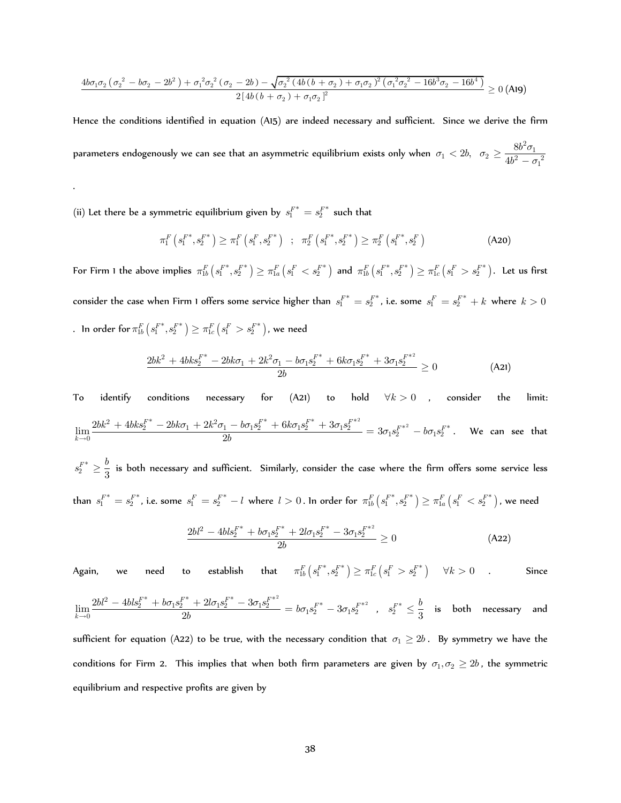$$
\frac{4b\sigma_1\sigma_2\left(\sigma_2^2 - b\sigma_2 - 2b^2\right) + \sigma_1^2\sigma_2^2\left(\sigma_2 - 2b\right) - \sqrt{\sigma_2^2\left(4b\left(b + \sigma_2\right) + \sigma_1\sigma_2\right)^2\left(\sigma_1^2\sigma_2^2 - 16b^3\sigma_2 - 16b^4\right)}}{2\left[4b\left(b + \sigma_2\right) + \sigma_1\sigma_2\right]^2} \ge 0 \text{ (A19)}
$$

Hence the conditions identified in equation (A15) are indeed necessary and sufficient. Since we derive the firm parameters endogenously we can see that an asymmetric equilibrium exists only when  $\sigma_1 < 2b, \;\; \sigma_2 \geq \frac{8b^2\sigma_1}{4b^2-\sigma_1^2}$ 2b,  $\sigma_2 \ge \frac{8}{4b^2}$  $b, \quad \sigma_2 \geq \frac{8b}{4b^2}$  $\sigma_1 < 2b, \ \ \sigma_2 \geq \frac{8b^2\sigma_1}{4b^2-\sigma}$ 

(ii) Let there be a symmetric equilibrium given by  $s_1^{F^*}=s_2^{F^*}$  such that

.

\n The number of equations is given by:\n 
$$
s_1^r = s_2^r \quad \text{such that}
$$
\n
$$
\pi_1^F\left(s_1^{F*}, s_2^{F*}\right) \geq \pi_1^F\left(s_1^F, s_2^{F*}\right) \quad ; \quad \pi_2^F\left(s_1^{F*}, s_2^{F*}\right) \geq \pi_2^F\left(s_1^{F*}, s_2^{F*}\right)
$$
\n

\n\n (A20)\n

 $(\sigma_i^2 - 5\sigma_i - 2\delta^2) + \alpha_i^2 \sigma_i^2 (\sigma_i^2 - \sigma_i^2) - \frac{\sqrt{\sigma_i^2 + \rho_i^2 + \rho_i^2 + \rho_i^2 + \rho_i^2 + \rho_i^2 + \rho_i^2 + \rho_i^2 + \rho_i^2 + \rho_i^2}}{2(\delta(\delta + \alpha_1) + \sigma_i^2) + \sigma_i^2 + \rho_i^2 + \rho_i^2 + \rho_i^2 + \rho_i^2 + \rho_i^2 + \rho_i^2}$  is conditions identified in equation (Afg) are in For Firm 1 the above implies  $\pi_{1b}^F\left(s_1^{F^*}, s_2^{F^*}\right) \geq \pi_{1a}^F\left(s_1^F < s_2^{F^*}\right)$  and  $\pi_{1b}^F\left(s_1^{F^*}, s_2^{F^*}\right) \geq \pi_{1c}^F\left(s_1^F > s_2^{F^*}\right)$ . Let us first consider the case when Firm 1 offers some service higher than  $s_1^{F^*}=s_2^{F^*}$ , i.e. some  $s_1^F=s_2^{F^*}+k$  where  $k>0$ *F*  $\pi_{1b}^{F} (s_1^{F^*}, s_2^{F^*}) \geq \pi_{1c}^{F} (s_1^{F} > s_2^{F^*})$ , we need<br>  $\frac{2bk^2 + 4bks_2^{F^*} - 2bk\sigma_1 + 2k^2\sigma_1 - b\sigma_1s_2^{F^*} + 6k\sigma_1s_2^{F^*} + 3\sigma_1s_2^{F^*2}}{2!} \geq 0$ 

$$
\frac{2bk^2 + 4bks_2^{F^*} - 2bk\sigma_1 + 2k^2\sigma_1 - b\sigma_1s_2^{F^*} + 6k\sigma_1s_2^{F^*} + 3\sigma_1s_2^{F^{*2}}}{2b} \ge 0
$$
 (A21)

To identify conditions necessary for  $(A21)$  to hold  $\forall k > 0$  , consider the limit: Fo identify conditions necessary for (A21) to hold  $\forall k > 0$  , c<br>  $\lim_{k \to 0} \frac{2bk^2 + 4bks_2^{F^*} - 2bk\sigma_1 + 2k^2\sigma_1 - b\sigma_1s_2^{F^*} + 6k\sigma_1s_2^{F^*} + 3\sigma_1s_2^{F^{*2}}}{2b} = 3\sigma_1s_2^{F^{*2}} - b\sigma_1s_2^{F^*}}$ *Fo* identify conditions necessary for (A21) to hold  $\forall k > 0$  , consider the limit:<br>  $\lim_{k \to 0} \frac{2bk^2 + 4bks_2^{F^*} - 2bk\sigma_1 + 2k^2\sigma_1 - b\sigma_1s_2^{F^*} + 6k\sigma_1s_2^{F^*} + 3\sigma_1s_2^{F^{*2}}}{2b} = 3\sigma_1s_2^{F^{*2}} - b\sigma_1s_2^{F^*}$ . We can

 $\frac{F^*}{2} \geq \frac{0}{3}$  $s_2^{F^*}\geq \frac{b}{2}$  is both necessary and sufficient. Similarly, consider the case where the firm offers some service less  $\epsilon^{F*}_{1} = s^{F*}_{2}$ , i.e. some  $s^{F}_{1} = s^{F*}_{2} - l$  where  $l > 0$  . In order for  $\pi_{1b}^{F}\left(s^{F*}_{1}, s^{F*}_{2}\right) \geq \pi_{1a}^{F}\left(s^{F}_{1} < s^{F*}_{2}\right)$ , we need

$$
\frac{2bl^2 - 4bls_2^{F^*} + b\sigma_1s_2^{F^*} + 2l\sigma_1s_2^{F^*} - 3\sigma_1s_2^{F^{*2}}}{2b} \ge 0
$$
\n(A22)

Again, we need to establish that  $\pi_{1b}^F\left(s_1^{F*}, s_2^{F*}\right) \geq \pi_{1c}^F\left(s_1^F > s_2^{F*}\right)$   $\forall k > 0$ . Since

Again, we need to establish that 
$$
\pi_{1b}(s_1, s_2) \ge \pi_{1c}(s_1 > s_2)
$$
  $\forall \kappa > 0$ . Since  

$$
\lim_{k \to 0} \frac{2bl^2 - 4bls_2^{F^*} + b\sigma_1s_2^{F^*} + 2l\sigma_1s_2^{F^*} - 3\sigma_1s_2^{F^{*2}}}{2b} = b\sigma_1s_2^{F^*} - 3\sigma_1s_2^{F^{*2}}
$$
,  $s_2^{F^*} \le \frac{b}{3}$  is both necessary and

sufficient for equation (A22) to be true, with the necessary condition that  $\sigma_1\geq 2b$  . By symmetry we have the conditions for Firm 2. This implies that when both firm parameters are given by  $\sigma_1, \sigma_2 \geq 2b$ , the symmetric equilibrium and respective profits are given by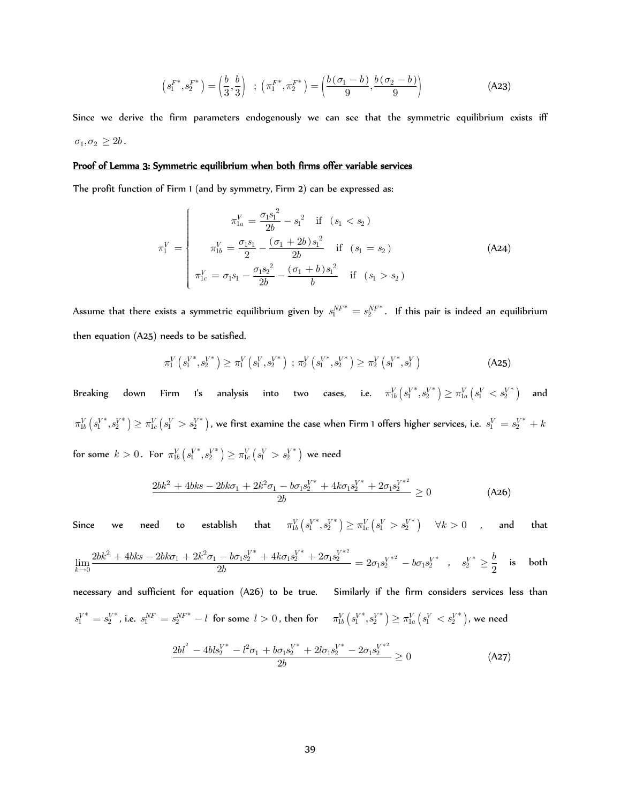$$
\left(s_1^{F^*}, s_2^{F^*}\right) = \left(\frac{b}{3}, \frac{b}{3}\right) \; ; \; \left(\pi_1^{F^*}, \pi_2^{F^*}\right) = \left(\frac{b(\sigma_1 - b)}{9}, \frac{b(\sigma_2 - b)}{9}\right) \tag{A23}
$$

Since we derive the firm parameters endogenously we can see that the symmetric equilibrium exists iff  $\sigma_1, \sigma_2 \geq 2b$ .

## Proof of Lemma 3: Symmetric equilibrium when both firms offer variable services

The profit function of Firm 1 (and by symmetry, Firm 2) can be expressed as:

$$
(s_1^{F^*}, s_2^{F^*}) = \left(\frac{1}{3}, \frac{1}{3}\right) ; (\pi_1^{F^*}, \pi_2^{F^*}) = \left(\frac{\alpha \sqrt{1 - \alpha_2}}{9}, \frac{\alpha \sqrt{1 - \alpha_2}}{9}\right)
$$
(A23)  
ne firm parameters endogenously we can see that the symmetric equilibrium  
**ymmetric equilibrium when both firms offer variable services**  
of Firm 1 (and by symmetry, Firm 2) can be expressed as:  

$$
\pi_1^V = \begin{cases} \pi_{10}^V = \frac{\sigma_1 s_1^2}{2b} - s_1^2 & \text{if } (s_1 < s_2) \\ \pi_{10}^V = \sigma_1 s_1 - \frac{\sigma_1 s_2^2}{2b} - \frac{(\sigma_1 + 2b)s_1^2}{b} & \text{if } (s_1 > s_2) \end{cases}
$$
(A24)  
exists a symmetric equilibrium given by  $s_1^{NP^*} = s_2^{NP^*}$ . If this pair is indeed an equ-  
needs to be satisfied.  

$$
\pi_1^V(s_1^{V*}, s_2^{V*}) \ge \pi_1^V(s_1^{V}, s_2^{V*}) ; \pi_2^V(s_1^{V*}, s_2^{V*}) \ge \pi_2^V(s_1^{V*}, s_2^{V*}) \ge \pi_{10}^V(s_1^{V} < s_2^{V*})
$$
(A25)  
From T's analysis into two cases, i.e.  $\pi_{10}^V(s_1^{V*}, s_2^{V*}) \ge \pi_{10}^V(s_1^{V} < s_2^{V*})$   

$$
(s_1^{V} > s_2^{V*}),
$$
 we first examine the case when Firm 1 offers higher services, i.e.  $s_1^V = \pi_{10}^V(s_1^{V*}, s_2^{V*}) \ge \pi_{10}^V(s_1^{V*}, s_2^{V*}) \ge \pi_{10}^V(s_1^{V*} < s_2^{V*})$   

$$
(s_1^{V*} > s_2^{V*}),
$$
 we first examine the case when Firm 1 offers higher services, i.e.  $s_1^V = \pi_{10}^V(s_1^{V*}, s_2^{V*}) \ge \pi_{10}^V(s_1^{V*}, s_2^{V*}) \ge \pi_{10}^V(s_1^{V*} < s_2$ 

Assume that there exists a symmetric equilibrium given by  $s_1^{NF*}=s_2^{NF*}.$  If this pair is indeed an equilibrium then equation (A25) needs to be satisfied.

needs to be satisfied.  
\n
$$
\pi_1^V(s_1^{V*}, s_2^{V*}) \ge \pi_1^V(s_1^V, s_2^{V*}) ; \pi_2^V(s_1^{V*}, s_2^{V*}) \ge \pi_2^V(s_1^{V*}, s_2^{V})
$$
\n(A25)

 $\textsf{Breaking} \quad \textsf{down} \quad \textsf{Firm} \quad \textsf{l's} \quad \textsf{analysis} \quad \textsf{into} \quad \textsf{two} \quad \textsf{cases}, \quad \textsf{i.e.} \quad \pi_{1b}^V \left( s_1^{V*}, s_2^{V*} \right) \geq \pi_{1a}^V \left( s_1^V < s_2^{V*} \right)$ and  $\pi_{1b}^V\left(s_1^{V*},s_2^{V*}\right)\geq \pi_{1c}^V\left(s_1^V>s_2^{V*}\right)$ , we first examine the case when Firm 1 offers higher services, i.e.  $s_1^V=s_2^{V*}+k$ for some  $k > 0$ . For  $\pi_{1b}^V (s_1^{V^*}, s_2^{V^*}) \ge \pi_{1c}^V (s_1^V > s_2^{V^*})$  we need<br>  $\frac{2bk^2 + 4bks - 2bk\sigma_1 + 2k^2\sigma_1 - b\sigma_1 s_2^{V^*} + 4k\sigma_1 s_2^{V^*} + 2\sigma_1 s_2^{V^{*2}}}{\sigma_1} \ge 0$ 

$$
\frac{2bk^2 + 4bks - 2bk\sigma_1 + 2k^2\sigma_1 - b\sigma_1 s_2^{V^*} + 4k\sigma_1 s_2^{V^*} + 2\sigma_1 s_2^{V^{*2}}}{2b} \ge 0
$$
\n(A26)

Since we need to establish , and that we heed to establish that  $n_{1b} (s_1, s_2)$ <br>  $n_{2} + 4bks - 2bk\sigma_1 + 2k^2\sigma_1 - b\sigma_1s_2^{y*} + 4k\sigma_1s_2^{y*} + 2\sigma_1s_2^{y*}$ that  $\begin{bmatrix} \frac{k_1}{b_1} & \frac{k_2}{b_2} \\ \frac{k_1}{b_2} & \frac{k_2}{b_2} & \frac{k_1}{b_2} \end{bmatrix}$ 

Since we need to establish that 
$$
\pi_{1b}^V (s_1^{V*}, s_2^{V*}) \ge \pi_{1c}^V (s_1^V > s_2^{V*}) \quad \forall k > 0
$$
, and that  
\n
$$
\lim_{k \to 0} \frac{2bk^2 + 4bks - 2b k \sigma_1 + 2k^2 \sigma_1 - b \sigma_1 s_2^{V*} + 4k \sigma_1 s_2^{V*} + 2 \sigma_1 s_2^{V*2}}{2b} = 2\sigma_1 s_2^{V*2} - b \sigma_1 s_2^{V*} \quad , \quad s_2^{V*} \ge \frac{b}{2}
$$
 is both

necessary and sufficient for equation (A26) to be true. Similarly if the firm considers services less than  $s_1^{V^*}=s_2^{V^*}$ , i.e.  $s_1^{NF}=s_2^{NF^*}-l$  for some  $l>0$  , then for  $\pi_{1b}^V\left(s_1^{V^*},s_2^{V^*}\right)\geq \pi_{1a}^V\left(s_1^V, we need$ 

$$
\frac{2b l^2 - 4b l s_2^{V^*} - l^2 \sigma_1 + b \sigma_1 s_2^{V^*} + 2l \sigma_1 s_2^{V^*} - 2\sigma_1 s_2^{V^{*2}}}{2b} \ge 0
$$
\n(A27)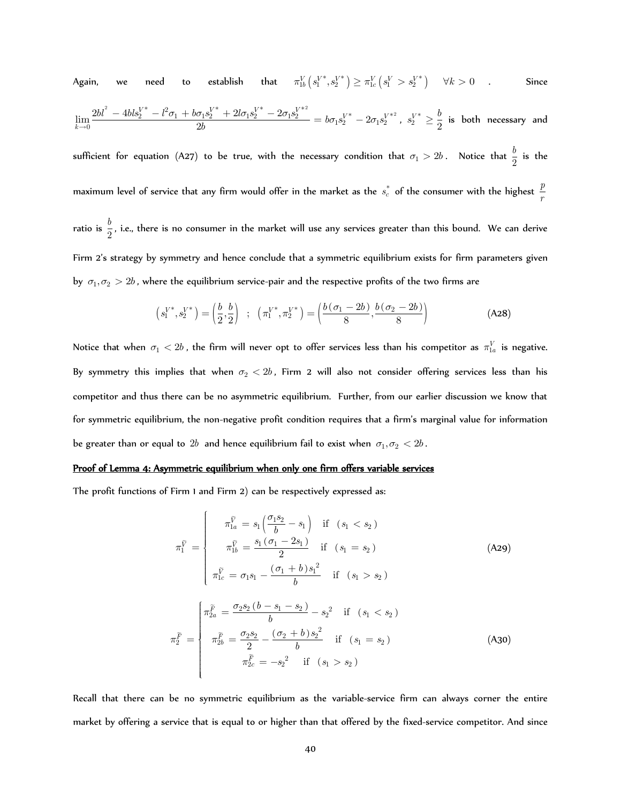Again, we need to establish that 
$$
\pi_{1b}^V(s_1^{V*}, s_2^{V*}) \ge \pi_{1c}^V(s_1^V > s_2^{V*}) \quad \forall k > 0
$$
. Since

Again, we need to establish that 
$$
\pi_{1b}^{V} (s_1^{V^*}, s_2^{V^*}) \ge \pi_{1c}^{V} (s_1^{V} > s_2^{V^*}) \quad \forall k > 0
$$
. Since  
\n
$$
\lim_{k \to 0} \frac{2bl^2 - 4bls_2^{V^*} - l^2 \sigma_1 + b\sigma_1 s_2^{V^*} + 2l\sigma_1 s_2^{V^*} - 2\sigma_1 s_2^{V^*}^2}{2b} = b\sigma_1 s_2^{V^*} - 2\sigma_1 s_2^{V^*} , s_2^{V^*} \ge \frac{b}{2}
$$
 is both necessary and

sufficient for equation (A27) to be true, with the necessary condition that  $\sigma_1 > 2b$ . Notice that  $\frac{\sigma}{2}$  $rac{b}{\sqrt{2}}$  is the maximum level of service that any firm would offer in the market as the  $s_c^*$  of the consumer with the highest  $\frac{p}{p}$ *r* ratio is  $\frac{0}{2}$  $\frac{b}{\alpha}$ , i.e., there is no consumer in the market will use any services greater than this bound. We can derive Firm 2's strategy by symmetry and hence conclude that a symmetric equilibrium exists for firm parameters given

by 
$$
\sigma_1, \sigma_2 > 2b
$$
, where the equilibrium service-pair and the respective profits of the two firms are  
\n
$$
\left(s_1^{V^*}, s_2^{V^*}\right) = \left(\frac{b}{2}, \frac{b}{2}\right) \ ; \ \left(\pi_1^{V^*}, \pi_2^{V^*}\right) = \left(\frac{b\left(\sigma_1 - 2b\right)}{8}, \frac{b\left(\sigma_2 - 2b\right)}{8}\right) \tag{A28}
$$

Notice that when  $\sigma_1 < 2b$  , the firm will never opt to offer services less than his competitor as  $\pi^V_{1a}$  is negative. By symmetry this implies that when  $\sigma_2 < 2b$ , Firm 2 will also not consider offering services less than his competitor and thus there can be no asymmetric equilibrium. Further, from our earlier discussion we know that for symmetric equilibrium, the non-negative profit condition requires that a firm's marginal value for information be greater than or equal to  $2b$  and hence equilibrium fail to exist when  $\sigma_1, \sigma_2 < 2b$ .

## Proof of Lemma 4: Asymmetric equilibrium when only one firm offers variable services

The profit functions of Firm 1 and Firm 2) can be respectively expressed as:

$$
\pi_1^{\tilde{V}} = \begin{cases}\n\pi_{1a}^{\tilde{V}} = s_1 \left( \frac{\sigma_1 s_2}{b} - s_1 \right) & \text{if } (s_1 < s_2) \\
\pi_{1b}^{\tilde{V}} = \frac{s_1 (\sigma_1 - 2s_1)}{2} & \text{if } (s_1 = s_2) \\
\pi_{1c}^{\tilde{V}} = \sigma_1 s_1 - \frac{(\sigma_1 + b) s_1^2}{b} & \text{if } (s_1 > s_2)\n\end{cases}
$$
\n(A29)

$$
\pi_2^{\widetilde{F}} = \begin{cases}\n\pi_{2a}^{\widetilde{F}} = \frac{\sigma_2 s_2 (b - s_1 - s_2)}{b} - s_2^2 & \text{if } (s_1 < s_2) \\
\pi_2^{\widetilde{F}} = \begin{cases}\n\pi_{2b}^{\widetilde{F}} = \frac{\sigma_2 s_2}{2} - \frac{(\sigma_2 + b) s_2^2}{b} & \text{if } (s_1 = s_2) \\
\pi_{2c}^{\widetilde{F}} = -s_2^2 & \text{if } (s_1 > s_2)\n\end{cases}
$$
\n(A30)

Recall that there can be no symmetric equilibrium as the variable-service firm can always corner the entire market by offering a service that is equal to or higher than that offered by the fixed-service competitor. And since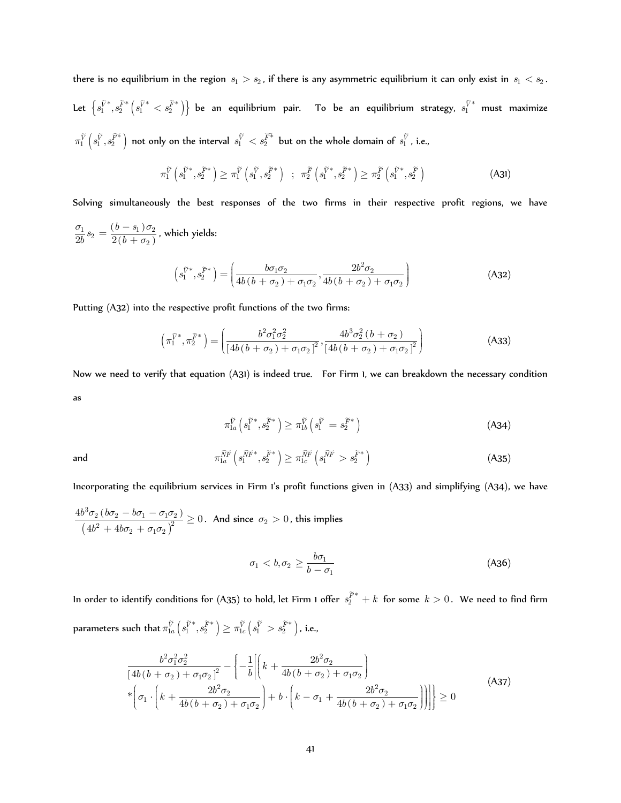there is no equilibrium in the region  $s_1 > s_2$ , if there is any asymmetric equilibrium it can only exist in  $s_1 < s_2$ . Let  $\left\{ s_{1}^{\widetilde{V}^{*}},s_{2}^{\widetilde{F}^{*}}\left(s_{1}^{\widetilde{V}^{*}} be an equilibrium pair. To be an equilibrium strategy,  $s_{1}^{\widetilde{V}^{*}}$  must maximize$  $\pi_1^{\widetilde V}\left(s_1^{\widetilde V}, s_2^{\widetilde{F^*}}\right)$  not only on the interval  $s_1^{\widetilde V}< s_2^{\widetilde{F^*}}$  but on the whole domain of  $s_1^{\widetilde V}$  , i.e.,

$$
\pi_1^{\tilde{V}}\left(s_1^{\tilde{V}^*}, s_2^{\tilde{F}^*}\right) \ge \pi_1^{\tilde{V}}\left(s_1^{\tilde{V}}, s_2^{\tilde{F}^*}\right) \ ; \ \pi_2^{\tilde{F}}\left(s_1^{\tilde{V}^*}, s_2^{\tilde{F}^*}\right) \ge \pi_2^{\tilde{F}}\left(s_1^{\tilde{V}^*}, s_2^{\tilde{F}}\right) \tag{A31}
$$

Solving simultaneously the best responses of the two firms in their respective profit regions, we have

 $(b - s_1)$  $(b+\sigma_2)$  $\frac{\sigma_1}{2b} s_2 = \frac{(b-s_1)\sigma_2}{2(b+\sigma_2)}$  $\frac{b_1}{b_2} s_2 = \frac{(b-s)}{2(b+s)}$  $\sigma_1$   $(b-s_1)\sigma_2$  $\sigma$  $=\frac{(b-s_1)\sigma_2}{2(b+\sigma_2)}$ , which yields:

$$
\left(s_1^{\tilde{V}^*}, s_2^{\tilde{F}^*}\right) = \left(\frac{b\sigma_1\sigma_2}{4b(b+\sigma_2)+\sigma_1\sigma_2}, \frac{2b^2\sigma_2}{4b(b+\sigma_2)+\sigma_1\sigma_2}\right)
$$
(A32)

Putting (A32) into the respective profit functions of the two firms:  
\n
$$
\left(\pi_1^{\widetilde{V}^*}, \pi_2^{\widetilde{F}^*}\right) = \left(\frac{b^2 \sigma_1^2 \sigma_2^2}{\left[4b\left(b + \sigma_2\right) + \sigma_1 \sigma_2\right]^2}, \frac{4b^3 \sigma_2^2 \left(b + \sigma_2\right)}{\left[4b\left(b + \sigma_2\right) + \sigma_1 \sigma_2\right]^2}\right)
$$
\n(A33)

Now we need to verify that equation (A31) is indeed true. For Firm 1, we can breakdown the necessary condition as

$$
\pi_{1a}^{\widetilde{V}}\left(s_{1}^{\widetilde{V}^{*}},s_{2}^{\widetilde{F}^{*}}\right)\geq\pi_{1b}^{\widetilde{V}}\left(s_{1}^{\widetilde{V}}=s_{2}^{\widetilde{F}^{*}}\right)
$$
\n(A34)

and

$$
\pi_{1a}^{\widetilde{NF}}\left(s_1^{\widetilde{NF}^*},s_2^{\widetilde{F}^*}\right) \geq \pi_{1c}^{\widetilde{NF}}\left(s_1^{\widetilde{NF}} > s_2^{\widetilde{F}^*}\right) \tag{A35}
$$

Incorporating the equilibrium services in Firm 1's profit functions given in (A33) and simplifying (A34), we have

$$
\frac{4b^3\sigma_2\left(b\sigma_2-b\sigma_1-\sigma_1\sigma_2\right)}{\left(4b^2+4b\sigma_2+\sigma_1\sigma_2\right)^2}\geq 0\,.
$$
 And since  $\sigma_2>0$ , this implies

$$
\sigma_1 < b, \sigma_2 \ge \frac{b\sigma_1}{b - \sigma_1} \tag{A36}
$$

In order to identify conditions for (A35) to hold, let Firm 1 offer  $s_2^{\widetilde{F}^*}+k\,$  for some  $\,k>0\,.$  We need to find firm parameters such that  $\pi_{1a}^{\widetilde{V}}\left(s_{1}^{\widetilde{V}^*}, s_{2}^{\widetilde{F}^*}\right)\geq \pi_{1c}^{\widetilde{V}}\left(s_{1}^{\widetilde{V}} > s_{2}^{\widetilde{F}^*}\right)$ , i.e.,

$$
\begin{aligned}\n\text{ such that } & \pi_{1a}^{V} \left( s_{1}^{V*}, s_{2}^{F*} \right) \geq \pi_{1c}^{V} \left( s_{1}^{V} > s_{2}^{F*} \right), \text{ i.e.,} \\
&\frac{b^{2} \sigma_{1}^{2} \sigma_{2}^{2}}{\left[ 4b \left( b + \sigma_{2} \right) + \sigma_{1} \sigma_{2} \right]^{2}} - \left\{ -\frac{1}{b} \left[ \left( k + \frac{2b^{2} \sigma_{2}}{4b \left( b + \sigma_{2} \right) + \sigma_{1} \sigma_{2}} \right) \right. \\
&\left. \left. \left( k + \frac{2b^{2} \sigma_{2}}{4b \left( b + \sigma_{2} \right) + \sigma_{1} \sigma_{2}} \right) + b \cdot \left( k - \sigma_{1} + \frac{2b^{2} \sigma_{2}}{4b \left( b + \sigma_{2} \right) + \sigma_{1} \sigma_{2}} \right) \right) \right] \right\} \geq 0\n\end{aligned} \tag{A37}
$$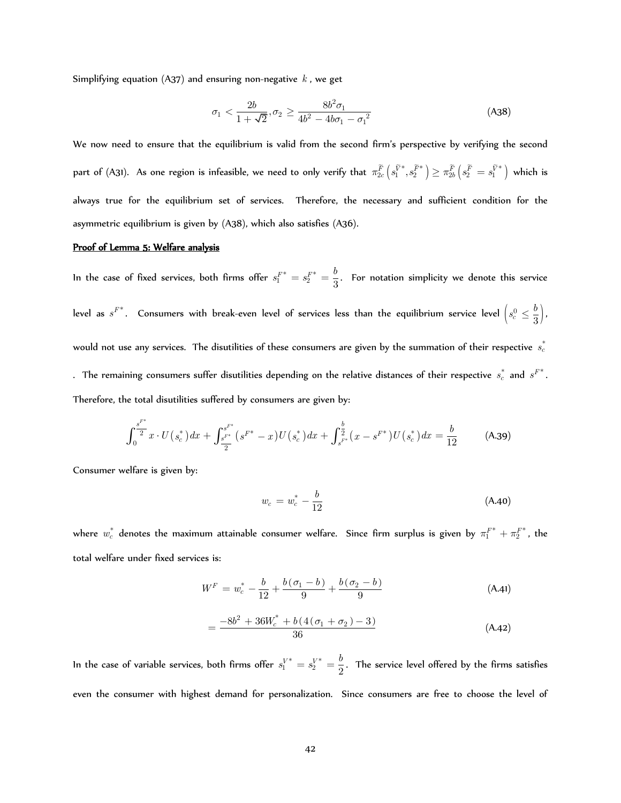Simplifying equation (A37) and ensuring non-negative *k* , we get

$$
\sigma_1 < \frac{2b}{1 + \sqrt{2}}, \sigma_2 \ge \frac{8b^2 \sigma_1}{4b^2 - 4b\sigma_1 - \sigma_1^2} \tag{A38}
$$

We now need to ensure that the equilibrium is valid from the second firm's perspective by verifying the second part of (A31). As one region is infeasible, we need to only verify that  $\pi^{\widetilde{F}}_{2c}\big(s^{\widetilde{F}^*}_1,s^{\widetilde{F}^*}_2\big)\geq \pi^{\widetilde{F}}_{2b}\big(s^{\widetilde{F}}_2=s^{\widetilde{V}^*}_1\big)$  which is always true for the equilibrium set of services. Therefore, the necessary and sufficient condition for the asymmetric equilibrium is given by (A38), which also satisfies (A36).

## Proof of Lemma 5: Welfare analysis

In the case of fixed services, both firms offer  $s_1^{F^*} = s_2^{F^*} = \frac{b}{3}$  $s_1^{F^*} = s_2^{F^*} = \frac{b}{2}$ . For notation simplicity we denote this service level as  $s^{F^*}.$  Consumers with break-even level of services less than the equilibrium service level  $\left(s_c^0\leq \frac{b}{2}\right)$ ,  $s_c^0 \leq \frac{b}{3}$ , would not use any services. The disutilities of these consumers are given by the summation of their respective  $s_c^*$ . The remaining consumers suffer disutilities depending on the relative distances of their respective  $s_c^*$  and  $s^{F^*}.$ Therefore, the total disutilities suffered by consumers are given by:<br> $\frac{s^{F^*}}{s^F}$  *b s b s b s b s b s b s b s b s b s b s b s b s b s b s b s b s b s* 

ne total distinct is suffered by consumers are given by:  
\n
$$
\int_0^{\frac{s^{F^*}}{2}} x \cdot U(s_c^*) dx + \int_{\frac{s^{F^*}}{2}}^{s^{F^*}} (s^{F^*} - x) U(s_c^*) dx + \int_{s^{F^*}}^{\frac{b}{2}} (x - s^{F^*}) U(s_c^*) dx = \frac{b}{12}
$$
\n(A.39)

Consumer welfare is given by:

$$
w_c = w_c^* - \frac{b}{12}
$$
 (A.40)

where  $w^*_c$  denotes the maximum attainable consumer welfare. Since firm surplus is given by  $\pi_1^{F^*}+\pi_2^{F^*}$ , the total welfare under fixed services is:

$$
W^{F} = w_{c}^{*} - \frac{b}{12} + \frac{b(\sigma_{1} - b)}{9} + \frac{b(\sigma_{2} - b)}{9}
$$
 (A.41)

$$
=\frac{-8b^2+36W_c^*+b(4(\sigma_1+\sigma_2)-3)}{36}
$$
 (A.42)

In the case of variable services, both firms offer  $s_1^{V^*}=s_2^{V^*}=\frac{b}{2}$  $s_1^{V^*} = s_2^{V^*} = \frac{b}{2}$ . The service level offered by the firms satisfies even the consumer with highest demand for personalization. Since consumers are free to choose the level of